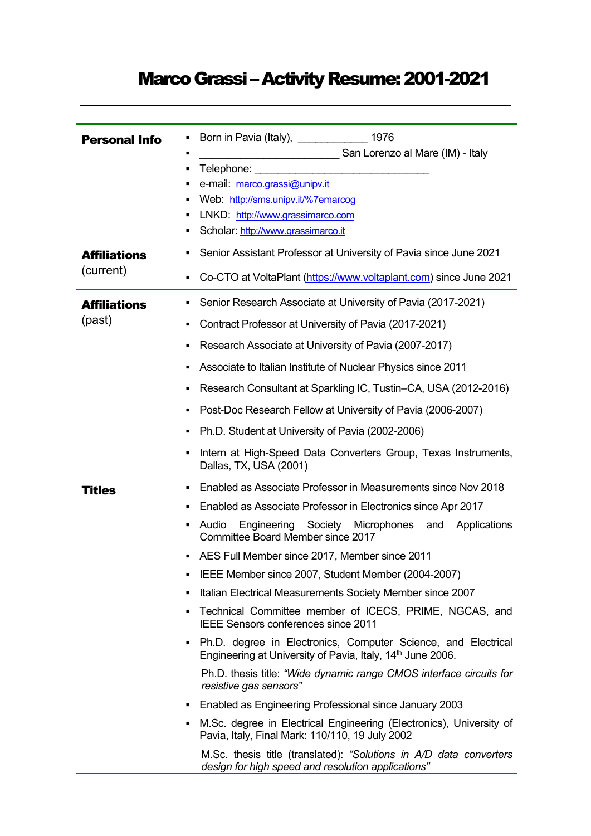## Marco Grassi – Activity Resume: 2001-2021

| <b>Personal Info</b>             | Born in Pavia (Italy), 1976                                                                                                                  |
|----------------------------------|----------------------------------------------------------------------------------------------------------------------------------------------|
|                                  | San Lorenzo al Mare (IM) - Italy<br>■                                                                                                        |
|                                  | Telephone:                                                                                                                                   |
|                                  | e-mail: marco.grassi@unipv.it                                                                                                                |
|                                  | Web: http://sms.unipv.it/%7emarcog                                                                                                           |
|                                  | LNKD: http://www.grassimarco.com<br>٠                                                                                                        |
|                                  | Scholar: http://www.grassimarco.it                                                                                                           |
| <b>Affiliations</b><br>(current) | Senior Assistant Professor at University of Pavia since June 2021<br>■                                                                       |
|                                  | Co-CTO at VoltaPlant (https://www.voltaplant.com) since June 2021                                                                            |
| <b>Affiliations</b><br>(past)    | Senior Research Associate at University of Pavia (2017-2021)                                                                                 |
|                                  | Contract Professor at University of Pavia (2017-2021)<br>٠                                                                                   |
|                                  | Research Associate at University of Pavia (2007-2017)                                                                                        |
|                                  | Associate to Italian Institute of Nuclear Physics since 2011                                                                                 |
|                                  | Research Consultant at Sparkling IC, Tustin-CA, USA (2012-2016)                                                                              |
|                                  | Post-Doc Research Fellow at University of Pavia (2006-2007)                                                                                  |
|                                  | Ph.D. Student at University of Pavia (2002-2006)<br>٠                                                                                        |
|                                  | Intern at High-Speed Data Converters Group, Texas Instruments,<br>٠<br>Dallas, TX, USA (2001)                                                |
| Titles                           | Enabled as Associate Professor in Measurements since Nov 2018<br>٠                                                                           |
|                                  | Enabled as Associate Professor in Electronics since Apr 2017                                                                                 |
|                                  | Society Microphones and Applications<br>Audio<br>Engineering<br>٠<br>Committee Board Member since 2017                                       |
|                                  | AES Full Member since 2017, Member since 2011                                                                                                |
|                                  | IEEE Member since 2007, Student Member (2004-2007)                                                                                           |
|                                  | Italian Electrical Measurements Society Member since 2007                                                                                    |
|                                  | Technical Committee member of ICECS, PRIME, NGCAS, and<br>٠<br><b>IEEE Sensors conferences since 2011</b>                                    |
|                                  | Ph.D. degree in Electronics, Computer Science, and Electrical<br>٠<br>Engineering at University of Pavia, Italy, 14 <sup>th</sup> June 2006. |
|                                  | Ph.D. thesis title: "Wide dynamic range CMOS interface circuits for<br>resistive gas sensors"                                                |
|                                  | Enabled as Engineering Professional since January 2003<br>٠                                                                                  |
|                                  | M.Sc. degree in Electrical Engineering (Electronics), University of<br>٠<br>Pavia, Italy, Final Mark: 110/110, 19 July 2002                  |
|                                  | M.Sc. thesis title (translated): "Solutions in A/D data converters<br>design for high speed and resolution applications"                     |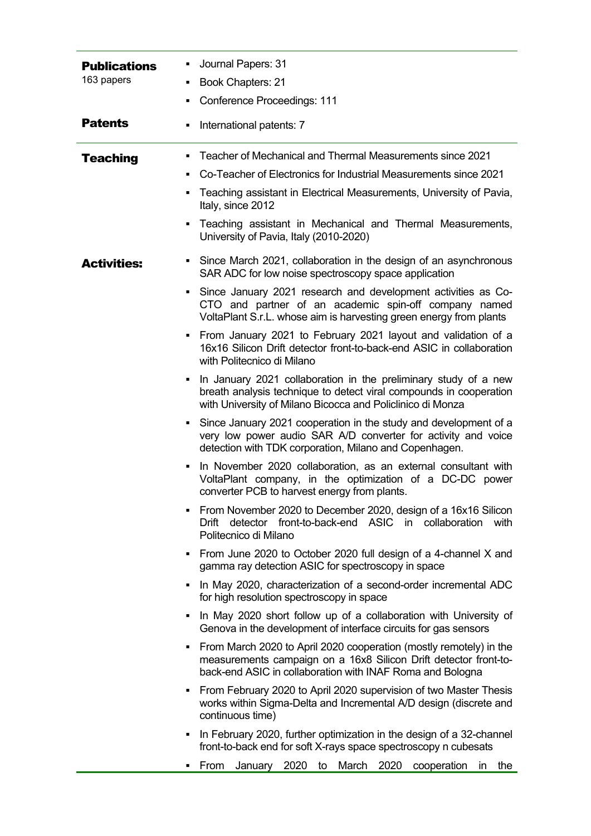| <b>Publications</b> | Journal Papers: 31<br>٠                                                                                                                                                                                  |
|---------------------|----------------------------------------------------------------------------------------------------------------------------------------------------------------------------------------------------------|
| 163 papers          | Book Chapters: 21<br>٠                                                                                                                                                                                   |
|                     | <b>Conference Proceedings: 111</b>                                                                                                                                                                       |
| <b>Patents</b>      | International patents: 7                                                                                                                                                                                 |
| <b>Teaching</b>     | Teacher of Mechanical and Thermal Measurements since 2021                                                                                                                                                |
|                     | Co-Teacher of Electronics for Industrial Measurements since 2021                                                                                                                                         |
|                     | Teaching assistant in Electrical Measurements, University of Pavia,<br>٠<br>Italy, since 2012                                                                                                            |
|                     | Teaching assistant in Mechanical and Thermal Measurements,<br>٠<br>University of Pavia, Italy (2010-2020)                                                                                                |
| <b>Activities:</b>  | Since March 2021, collaboration in the design of an asynchronous<br>п<br>SAR ADC for low noise spectroscopy space application                                                                            |
|                     | Since January 2021 research and development activities as Co-<br>CTO and partner of an academic spin-off company named<br>VoltaPlant S.r.L. whose aim is harvesting green energy from plants             |
|                     | From January 2021 to February 2021 layout and validation of a<br>٠<br>16x16 Silicon Drift detector front-to-back-end ASIC in collaboration<br>with Politecnico di Milano                                 |
|                     | In January 2021 collaboration in the preliminary study of a new<br>٠<br>breath analysis technique to detect viral compounds in cooperation<br>with University of Milano Bicocca and Policlinico di Monza |
|                     | Since January 2021 cooperation in the study and development of a<br>٠<br>very low power audio SAR A/D converter for activity and voice<br>detection with TDK corporation, Milano and Copenhagen.         |
|                     | In November 2020 collaboration, as an external consultant with<br>٠<br>VoltaPlant company, in the optimization of a DC-DC power<br>converter PCB to harvest energy from plants.                          |
|                     | From November 2020 to December 2020, design of a 16x16 Silicon<br>Drift detector front-to-back-end ASIC in collaboration<br>with<br>Politecnico di Milano                                                |
|                     | • From June 2020 to October 2020 full design of a 4-channel X and<br>gamma ray detection ASIC for spectroscopy in space                                                                                  |
|                     | In May 2020, characterization of a second-order incremental ADC<br>for high resolution spectroscopy in space                                                                                             |
|                     | In May 2020 short follow up of a collaboration with University of<br>Genova in the development of interface circuits for gas sensors                                                                     |
|                     | From March 2020 to April 2020 cooperation (mostly remotely) in the<br>٠<br>measurements campaign on a 16x8 Silicon Drift detector front-to-<br>back-end ASIC in collaboration with INAF Roma and Bologna |
|                     | From February 2020 to April 2020 supervision of two Master Thesis<br>works within Sigma-Delta and Incremental A/D design (discrete and<br>continuous time)                                               |
|                     | In February 2020, further optimization in the design of a 32-channel<br>٠<br>front-to-back end for soft X-rays space spectroscopy n cubesats                                                             |
|                     | From January 2020 to March<br>2020 cooperation<br>the<br>in<br>٠                                                                                                                                         |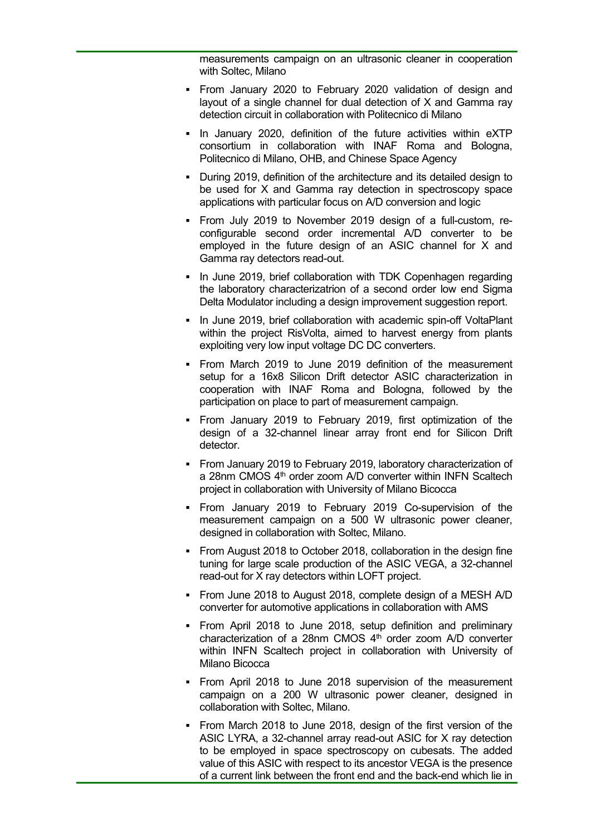measurements campaign on an ultrasonic cleaner in cooperation with Soltec, Milano

- From January 2020 to February 2020 validation of design and layout of a single channel for dual detection of X and Gamma ray detection circuit in collaboration with Politecnico di Milano
- In January 2020, definition of the future activities within eXTP consortium in collaboration with INAF Roma and Bologna, Politecnico di Milano, OHB, and Chinese Space Agency
- During 2019, definition of the architecture and its detailed design to be used for X and Gamma ray detection in spectroscopy space applications with particular focus on A/D conversion and logic
- From July 2019 to November 2019 design of a full-custom, reconfigurable second order incremental A/D converter to be employed in the future design of an ASIC channel for X and Gamma ray detectors read-out.
- In June 2019, brief collaboration with TDK Copenhagen regarding the laboratory characterizatrion of a second order low end Sigma Delta Modulator including a design improvement suggestion report.
- In June 2019, brief collaboration with academic spin-off VoltaPlant within the project RisVolta, aimed to harvest energy from plants exploiting very low input voltage DC DC converters.
- From March 2019 to June 2019 definition of the measurement setup for a 16x8 Silicon Drift detector ASIC characterization in cooperation with INAF Roma and Bologna, followed by the participation on place to part of measurement campaign.
- From January 2019 to February 2019, first optimization of the design of a 32-channel linear array front end for Silicon Drift detector.
- From January 2019 to February 2019, laboratory characterization of a 28nm CMOS 4<sup>th</sup> order zoom A/D converter within INFN Scaltech project in collaboration with University of Milano Bicocca
- From January 2019 to February 2019 Co-supervision of the measurement campaign on a 500 W ultrasonic power cleaner, designed in collaboration with Soltec, Milano.
- From August 2018 to October 2018, collaboration in the design fine tuning for large scale production of the ASIC VEGA, a 32-channel read-out for X ray detectors within LOFT project.
- From June 2018 to August 2018, complete design of a MESH A/D converter for automotive applications in collaboration with AMS
- From April 2018 to June 2018, setup definition and preliminary characterization of a 28nm CMOS 4<sup>th</sup> order zoom A/D converter within INFN Scaltech project in collaboration with University of Milano Bicocca
- From April 2018 to June 2018 supervision of the measurement campaign on a 200 W ultrasonic power cleaner, designed in collaboration with Soltec, Milano.
- From March 2018 to June 2018, design of the first version of the ASIC LYRA, a 32-channel array read-out ASIC for X ray detection to be employed in space spectroscopy on cubesats. The added value of this ASIC with respect to its ancestor VEGA is the presence of a current link between the front end and the back-end which lie in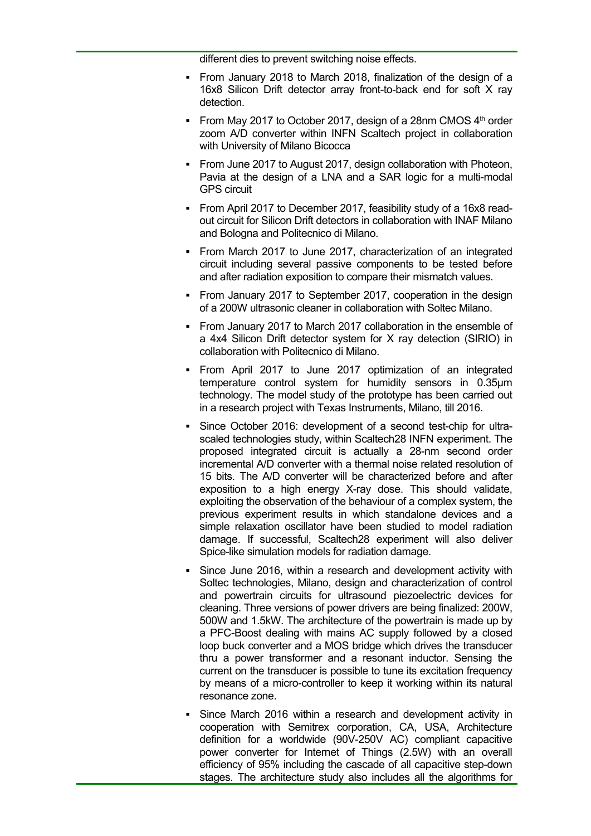different dies to prevent switching noise effects.

- From January 2018 to March 2018, finalization of the design of a 16x8 Silicon Drift detector array front-to-back end for soft X ray detection.
- From May 2017 to October 2017, design of a 28nm CMOS  $4<sup>th</sup>$  order zoom A/D converter within INFN Scaltech project in collaboration with University of Milano Bicocca
- From June 2017 to August 2017, design collaboration with Photeon, Pavia at the design of a LNA and a SAR logic for a multi-modal GPS circuit
- From April 2017 to December 2017, feasibility study of a 16x8 readout circuit for Silicon Drift detectors in collaboration with INAF Milano and Bologna and Politecnico di Milano.
- From March 2017 to June 2017, characterization of an integrated circuit including several passive components to be tested before and after radiation exposition to compare their mismatch values.
- From January 2017 to September 2017, cooperation in the design of a 200W ultrasonic cleaner in collaboration with Soltec Milano.
- From January 2017 to March 2017 collaboration in the ensemble of a 4x4 Silicon Drift detector system for X ray detection (SIRIO) in collaboration with Politecnico di Milano.
- From April 2017 to June 2017 optimization of an integrated temperature control system for humidity sensors in 0.35µm technology. The model study of the prototype has been carried out in a research project with Texas Instruments, Milano, till 2016.
- Since October 2016: development of a second test-chip for ultrascaled technologies study, within Scaltech28 INFN experiment. The proposed integrated circuit is actually a 28-nm second order incremental A/D converter with a thermal noise related resolution of 15 bits. The A/D converter will be characterized before and after exposition to a high energy X-ray dose. This should validate, exploiting the observation of the behaviour of a complex system, the previous experiment results in which standalone devices and a simple relaxation oscillator have been studied to model radiation damage. If successful, Scaltech28 experiment will also deliver Spice-like simulation models for radiation damage.
- Since June 2016, within a research and development activity with Soltec technologies, Milano, design and characterization of control and powertrain circuits for ultrasound piezoelectric devices for cleaning. Three versions of power drivers are being finalized: 200W, 500W and 1.5kW. The architecture of the powertrain is made up by a PFC-Boost dealing with mains AC supply followed by a closed loop buck converter and a MOS bridge which drives the transducer thru a power transformer and a resonant inductor. Sensing the current on the transducer is possible to tune its excitation frequency by means of a micro-controller to keep it working within its natural resonance zone.
- Since March 2016 within a research and development activity in cooperation with Semitrex corporation, CA, USA, Architecture definition for a worldwide (90V-250V AC) compliant capacitive power converter for Internet of Things (2.5W) with an overall efficiency of 95% including the cascade of all capacitive step-down stages. The architecture study also includes all the algorithms for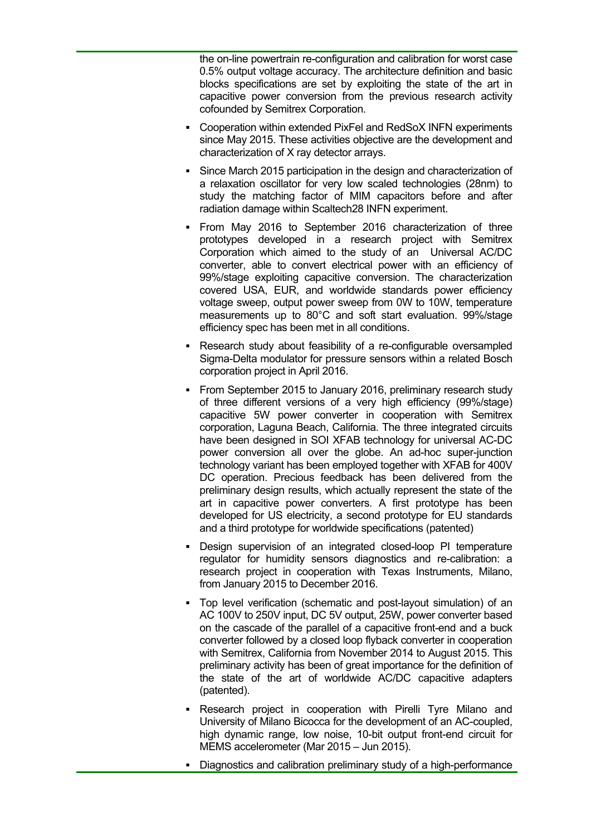the on-line powertrain re-configuration and calibration for worst case 0.5% output voltage accuracy. The architecture definition and basic blocks specifications are set by exploiting the state of the art in capacitive power conversion from the previous research activity cofounded by Semitrex Corporation.

- Cooperation within extended PixFel and RedSoX INFN experiments since May 2015. These activities objective are the development and characterization of X ray detector arrays.
- Since March 2015 participation in the design and characterization of a relaxation oscillator for very low scaled technologies (28nm) to study the matching factor of MIM capacitors before and after radiation damage within Scaltech28 INFN experiment.
- From May 2016 to September 2016 characterization of three prototypes developed in a research project with Semitrex Corporation which aimed to the study of an Universal AC/DC converter, able to convert electrical power with an efficiency of 99%/stage exploiting capacitive conversion. The characterization covered USA, EUR, and worldwide standards power efficiency voltage sweep, output power sweep from 0W to 10W, temperature measurements up to 80°C and soft start evaluation. 99%/stage efficiency spec has been met in all conditions.
- Research study about feasibility of a re-configurable oversampled Sigma-Delta modulator for pressure sensors within a related Bosch corporation project in April 2016.
- From September 2015 to January 2016, preliminary research study of three different versions of a very high efficiency (99%/stage) capacitive 5W power converter in cooperation with Semitrex corporation, Laguna Beach, California. The three integrated circuits have been designed in SOI XFAB technology for universal AC-DC power conversion all over the globe. An ad-hoc super-junction technology variant has been employed together with XFAB for 400V DC operation. Precious feedback has been delivered from the preliminary design results, which actually represent the state of the art in capacitive power converters. A first prototype has been developed for US electricity, a second prototype for EU standards and a third prototype for worldwide specifications (patented)
- Design supervision of an integrated closed-loop PI temperature regulator for humidity sensors diagnostics and re-calibration: a research project in cooperation with Texas Instruments, Milano, from January 2015 to December 2016.
- Top level verification (schematic and post-layout simulation) of an AC 100V to 250V input, DC 5V output, 25W, power converter based on the cascade of the parallel of a capacitive front-end and a buck converter followed by a closed loop flyback converter in cooperation with Semitrex, California from November 2014 to August 2015. This preliminary activity has been of great importance for the definition of the state of the art of worldwide AC/DC capacitive adapters (patented).
- Research project in cooperation with Pirelli Tyre Milano and University of Milano Bicocca for the development of an AC-coupled, high dynamic range, low noise, 10-bit output front-end circuit for MEMS accelerometer (Mar 2015 – Jun 2015).
- Diagnostics and calibration preliminary study of a high-performance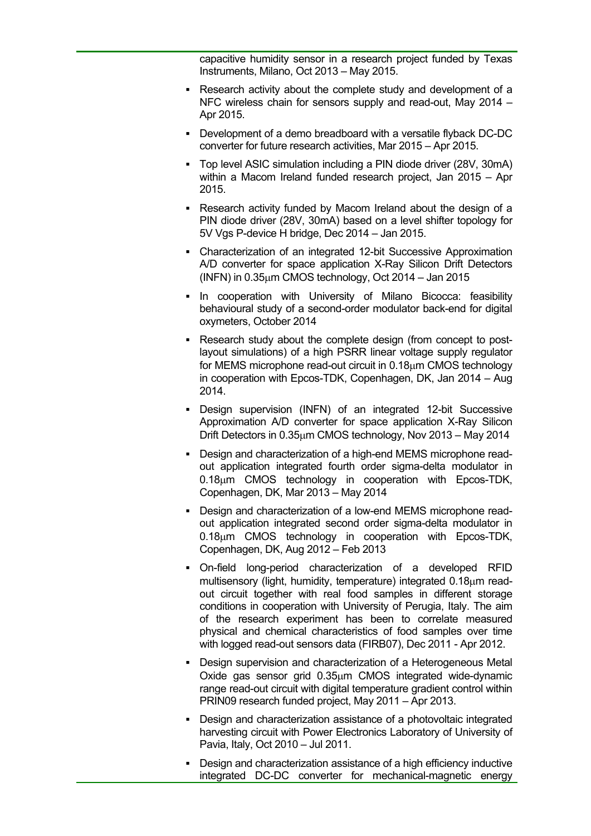capacitive humidity sensor in a research project funded by Texas Instruments, Milano, Oct 2013 – May 2015.

- Research activity about the complete study and development of a NFC wireless chain for sensors supply and read-out, May 2014 – Apr 2015.
- Development of a demo breadboard with a versatile flyback DC-DC converter for future research activities, Mar 2015 – Apr 2015.
- Top level ASIC simulation including a PIN diode driver (28V, 30mA) within a Macom Ireland funded research project, Jan 2015 – Apr 2015.
- Research activity funded by Macom Ireland about the design of a PIN diode driver (28V, 30mA) based on a level shifter topology for 5V Vgs P-device H bridge, Dec 2014 – Jan 2015.
- Characterization of an integrated 12-bit Successive Approximation A/D converter for space application X-Ray Silicon Drift Detectors  $(INFN)$  in 0.35 $µm$  CMOS technology, Oct 2014 – Jan 2015
- In cooperation with University of Milano Bicocca: feasibility behavioural study of a second-order modulator back-end for digital oxymeters, October 2014
- Research study about the complete design (from concept to postlayout simulations) of a high PSRR linear voltage supply regulator for MEMS microphone read-out circuit in 0.18um CMOS technology in cooperation with Epcos-TDK, Copenhagen, DK, Jan 2014 – Aug 2014.
- Design supervision (INFN) of an integrated 12-bit Successive Approximation A/D converter for space application X-Ray Silicon Drift Detectors in  $0.35 \mu m$  CMOS technology, Nov 2013 – May 2014
- Design and characterization of a high-end MEMS microphone readout application integrated fourth order sigma-delta modulator in 0.18µm CMOS technology in cooperation with Epcos-TDK, Copenhagen, DK, Mar 2013 – May 2014
- Design and characterization of a low-end MEMS microphone readout application integrated second order sigma-delta modulator in  $0.18\mu$ m CMOS technology in cooperation with Epcos-TDK, Copenhagen, DK, Aug 2012 – Feb 2013
- On-field long-period characterization of a developed RFID multisensory (light, humidity, temperature) integrated 0.18um readout circuit together with real food samples in different storage conditions in cooperation with University of Perugia, Italy. The aim of the research experiment has been to correlate measured physical and chemical characteristics of food samples over time with logged read-out sensors data (FIRB07), Dec 2011 - Apr 2012.
- Design supervision and characterization of a Heterogeneous Metal Oxide gas sensor grid  $0.35\mu m$  CMOS integrated wide-dynamic range read-out circuit with digital temperature gradient control within PRIN09 research funded project, May 2011 – Apr 2013.
- Design and characterization assistance of a photovoltaic integrated harvesting circuit with Power Electronics Laboratory of University of Pavia, Italy, Oct 2010 – Jul 2011.
- Design and characterization assistance of a high efficiency inductive integrated DC-DC converter for mechanical-magnetic energy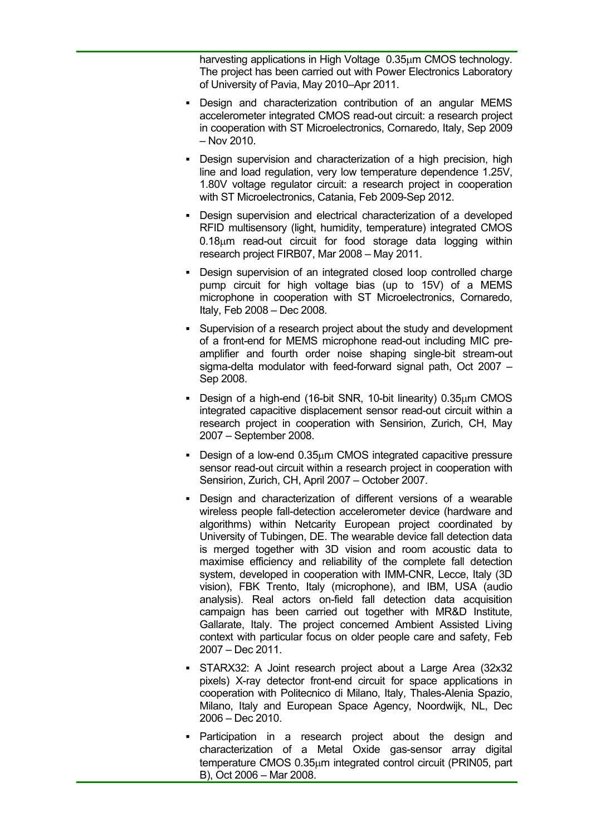harvesting applications in High Voltage 0.35µm CMOS technology. The project has been carried out with Power Electronics Laboratory of University of Pavia, May 2010–Apr 2011.

- Design and characterization contribution of an angular MEMS accelerometer integrated CMOS read-out circuit: a research project in cooperation with ST Microelectronics, Cornaredo, Italy, Sep 2009 – Nov 2010.
- Design supervision and characterization of a high precision, high line and load regulation, very low temperature dependence 1.25V, 1.80V voltage regulator circuit: a research project in cooperation with ST Microelectronics, Catania, Feb 2009-Sep 2012.
- Design supervision and electrical characterization of a developed RFID multisensory (light, humidity, temperature) integrated CMOS 0.18um read-out circuit for food storage data logging within research project FIRB07, Mar 2008 – May 2011.
- Design supervision of an integrated closed loop controlled charge pump circuit for high voltage bias (up to 15V) of a MEMS microphone in cooperation with ST Microelectronics, Cornaredo, Italy, Feb 2008 – Dec 2008.
- Supervision of a research project about the study and development of a front-end for MEMS microphone read-out including MIC preamplifier and fourth order noise shaping single-bit stream-out sigma-delta modulator with feed-forward signal path, Oct 2007 – Sep 2008.
- Design of a high-end (16-bit SNR, 10-bit linearity) 0.35um CMOS integrated capacitive displacement sensor read-out circuit within a research project in cooperation with Sensirion, Zurich, CH, May 2007 – September 2008.
- Design of a low-end  $0.35\mu m$  CMOS integrated capacitive pressure sensor read-out circuit within a research project in cooperation with Sensirion, Zurich, CH, April 2007 – October 2007.
- **Design and characterization of different versions of a wearable** wireless people fall-detection accelerometer device (hardware and algorithms) within Netcarity European project coordinated by University of Tubingen, DE. The wearable device fall detection data is merged together with 3D vision and room acoustic data to maximise efficiency and reliability of the complete fall detection system, developed in cooperation with IMM-CNR, Lecce, Italy (3D vision), FBK Trento, Italy (microphone), and IBM, USA (audio analysis). Real actors on-field fall detection data acquisition campaign has been carried out together with MR&D Institute, Gallarate, Italy. The project concerned Ambient Assisted Living context with particular focus on older people care and safety, Feb 2007 – Dec 2011.
- STARX32: A Joint research project about a Large Area (32x32 pixels) X-ray detector front-end circuit for space applications in cooperation with Politecnico di Milano, Italy, Thales-Alenia Spazio, Milano, Italy and European Space Agency, Noordwijk, NL, Dec 2006 – Dec 2010.
- Participation in a research project about the design and characterization of a Metal Oxide gas-sensor array digital temperature CMOS 0.35µm integrated control circuit (PRIN05, part B), Oct 2006 – Mar 2008.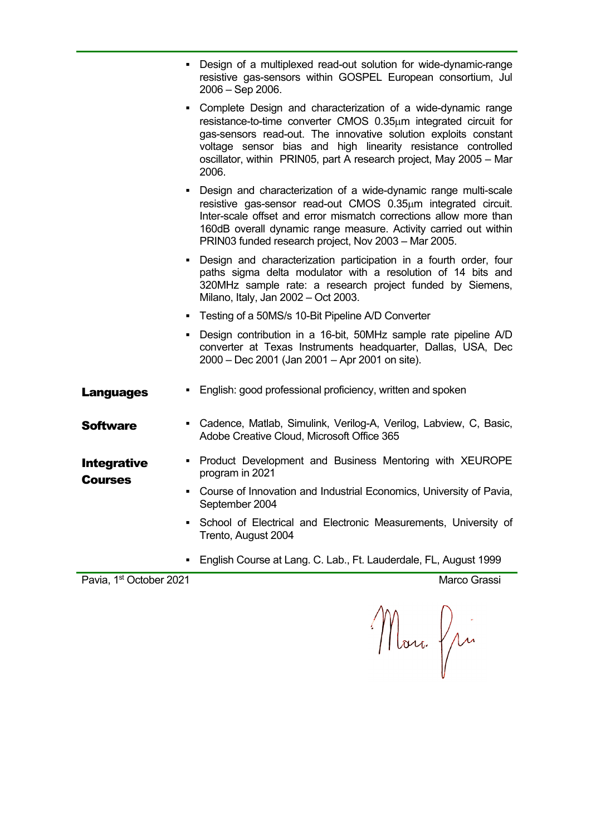- Design of a multiplexed read-out solution for wide-dynamic-range resistive gas-sensors within GOSPEL European consortium, Jul 2006 – Sep 2006.
- Complete Design and characterization of a wide-dynamic range resistance-to-time converter CMOS 0.35um integrated circuit for gas-sensors read-out. The innovative solution exploits constant voltage sensor bias and high linearity resistance controlled oscillator, within PRIN05, part A research project, May 2005 – Mar 2006.
- Design and characterization of a wide-dynamic range multi-scale resistive gas-sensor read-out CMOS 0.35um integrated circuit. Inter-scale offset and error mismatch corrections allow more than 160dB overall dynamic range measure. Activity carried out within PRIN03 funded research project, Nov 2003 – Mar 2005.
- Design and characterization participation in a fourth order, four paths sigma delta modulator with a resolution of 14 bits and 320MHz sample rate: a research project funded by Siemens, Milano, Italy, Jan 2002 – Oct 2003.
- **Testing of a 50MS/s 10-Bit Pipeline A/D Converter**
- Design contribution in a 16-bit, 50MHz sample rate pipeline A/D converter at Texas Instruments headquarter, Dallas, USA, Dec 2000 – Dec 2001 (Jan 2001 – Apr 2001 on site).
- **Languages** English: good professional proficiency, written and spoken
- **Software Cadence, Matlab, Simulink, Verilog-A, Verilog, Labview, C, Basic, Sasic,** Adobe Creative Cloud, Microsoft Office 365
- Integrative Courses **• Product Development and Business Mentoring with XEUROPE** program in 2021
	- Course of Innovation and Industrial Economics, University of Pavia, September 2004
	- School of Electrical and Electronic Measurements, University of Trento, August 2004
	- English Course at Lang. C. Lab., Ft. Lauderdale, FL, August 1999

Pavia, 1<sup>st</sup> October 2021 Marco Grassi

Marc. fra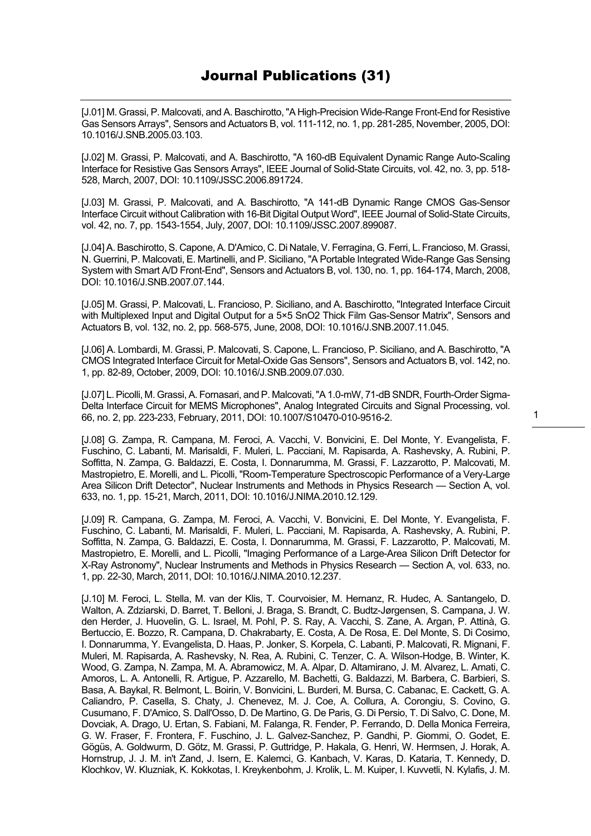[J.01] M. Grassi, P. Malcovati, and A. Baschirotto, "A High-Precision Wide-Range Front-End for Resistive Gas Sensors Arrays", Sensors and Actuators B, vol. 111-112, no. 1, pp. 281-285, November, 2005, DOI: 10.1016/J.SNB.2005.03.103.

[J.02] M. Grassi, P. Malcovati, and A. Baschirotto, "A 160-dB Equivalent Dynamic Range Auto-Scaling Interface for Resistive Gas Sensors Arrays", IEEE Journal of Solid-State Circuits, vol. 42, no. 3, pp. 518- 528, March, 2007, DOI: 10.1109/JSSC.2006.891724.

[J.03] M. Grassi, P. Malcovati, and A. Baschirotto, "A 141-dB Dynamic Range CMOS Gas-Sensor Interface Circuit without Calibration with 16-Bit Digital Output Word", IEEE Journal of Solid-State Circuits, vol. 42, no. 7, pp. 1543-1554, July, 2007, DOI: 10.1109/JSSC.2007.899087.

[J.04] A. Baschirotto, S. Capone, A. D'Amico, C. Di Natale, V. Ferragina, G. Ferri, L. Francioso, M. Grassi, N. Guerrini, P. Malcovati, E. Martinelli, and P. Siciliano, "A Portable Integrated Wide-Range Gas Sensing System with Smart A/D Front-End", Sensors and Actuators B, vol. 130, no. 1, pp. 164-174, March, 2008, DOI: 10.1016/J.SNB.2007.07.144.

[J.05] M. Grassi, P. Malcovati, L. Francioso, P. Siciliano, and A. Baschirotto, "Integrated Interface Circuit with Multiplexed Input and Digital Output for a 5×5 SnO2 Thick Film Gas-Sensor Matrix", Sensors and Actuators B, vol. 132, no. 2, pp. 568-575, June, 2008, DOI: 10.1016/J.SNB.2007.11.045.

[J.06] A. Lombardi, M. Grassi, P. Malcovati, S. Capone, L. Francioso, P. Siciliano, and A. Baschirotto, "A CMOS Integrated Interface Circuit for Metal-Oxide Gas Sensors", Sensors and Actuators B, vol. 142, no. 1, pp. 82-89, October, 2009, DOI: 10.1016/J.SNB.2009.07.030.

[J.07] L. Picolli, M. Grassi, A. Fornasari, and P. Malcovati, "A 1.0-mW, 71-dB SNDR, Fourth-Order Sigma-Delta Interface Circuit for MEMS Microphones", Analog Integrated Circuits and Signal Processing, vol. 66, no. 2, pp. 223-233, February, 2011, DOI: 10.1007/S10470-010-9516-2.

1

[J.08] G. Zampa, R. Campana, M. Feroci, A. Vacchi, V. Bonvicini, E. Del Monte, Y. Evangelista, F. Fuschino, C. Labanti, M. Marisaldi, F. Muleri, L. Pacciani, M. Rapisarda, A. Rashevsky, A. Rubini, P. Soffitta, N. Zampa, G. Baldazzi, E. Costa, I. Donnarumma, M. Grassi, F. Lazzarotto, P. Malcovati, M. Mastropietro, E. Morelli, and L. Picolli, "Room-Temperature Spectroscopic Performance of a Very-Large Area Silicon Drift Detector", Nuclear Instruments and Methods in Physics Research — Section A, vol. 633, no. 1, pp. 15-21, March, 2011, DOI: 10.1016/J.NIMA.2010.12.129.

[J.09] R. Campana, G. Zampa, M. Feroci, A. Vacchi, V. Bonvicini, E. Del Monte, Y. Evangelista, F. Fuschino, C. Labanti, M. Marisaldi, F. Muleri, L. Pacciani, M. Rapisarda, A. Rashevsky, A. Rubini, P. Soffitta, N. Zampa, G. Baldazzi, E. Costa, I. Donnarumma, M. Grassi, F. Lazzarotto, P. Malcovati, M. Mastropietro, E. Morelli, and L. Picolli, "Imaging Performance of a Large-Area Silicon Drift Detector for X-Ray Astronomy", Nuclear Instruments and Methods in Physics Research — Section A, vol. 633, no. 1, pp. 22-30, March, 2011, DOI: 10.1016/J.NIMA.2010.12.237.

[J.10] M. Feroci, L. Stella, M. van der Klis, T. Courvoisier, M. Hernanz, R. Hudec, A. Santangelo, D. Walton, A. Zdziarski, D. Barret, T. Belloni, J. Braga, S. Brandt, C. Budtz-Jørgensen, S. Campana, J. W. den Herder, J. Huovelin, G. L. Israel, M. Pohl, P. S. Ray, A. Vacchi, S. Zane, A. Argan, P. Attinà, G. Bertuccio, E. Bozzo, R. Campana, D. Chakrabarty, E. Costa, A. De Rosa, E. Del Monte, S. Di Cosimo, I. Donnarumma, Y. Evangelista, D. Haas, P. Jonker, S. Korpela, C. Labanti, P. Malcovati, R. Mignani, F. Muleri, M. Rapisarda, A. Rashevsky, N. Rea, A. Rubini, C. Tenzer, C. A. Wilson-Hodge, B. Winter, K. Wood, G. Zampa, N. Zampa, M. A. Abramowicz, M. A. Alpar, D. Altamirano, J. M. Alvarez, L. Amati, C. Amoros, L. A. Antonelli, R. Artigue, P. Azzarello, M. Bachetti, G. Baldazzi, M. Barbera, C. Barbieri, S. Basa, A. Baykal, R. Belmont, L. Boirin, V. Bonvicini, L. Burderi, M. Bursa, C. Cabanac, E. Cackett, G. A. Caliandro, P. Casella, S. Chaty, J. Chenevez, M. J. Coe, A. Collura, A. Corongiu, S. Covino, G. Cusumano, F. D'Amico, S. Dall'Osso, D. De Martino, G. De Paris, G. Di Persio, T. Di Salvo, C. Done, M. Dovciak, A. Drago, U. Ertan, S. Fabiani, M. Falanga, R. Fender, P. Ferrando, D. Della Monica Ferreira, G. W. Fraser, F. Frontera, F. Fuschino, J. L. Galvez-Sanchez, P. Gandhi, P. Giommi, O. Godet, E. Gögüs, A. Goldwurm, D. Götz, M. Grassi, P. Guttridge, P. Hakala, G. Henri, W. Hermsen, J. Horak, A. Hornstrup, J. J. M. in't Zand, J. Isern, E. Kalemci, G. Kanbach, V. Karas, D. Kataria, T. Kennedy, D. Klochkov, W. Kluzniak, K. Kokkotas, I. Kreykenbohm, J. Krolik, L. M. Kuiper, I. Kuvvetli, N. Kylafis, J. M.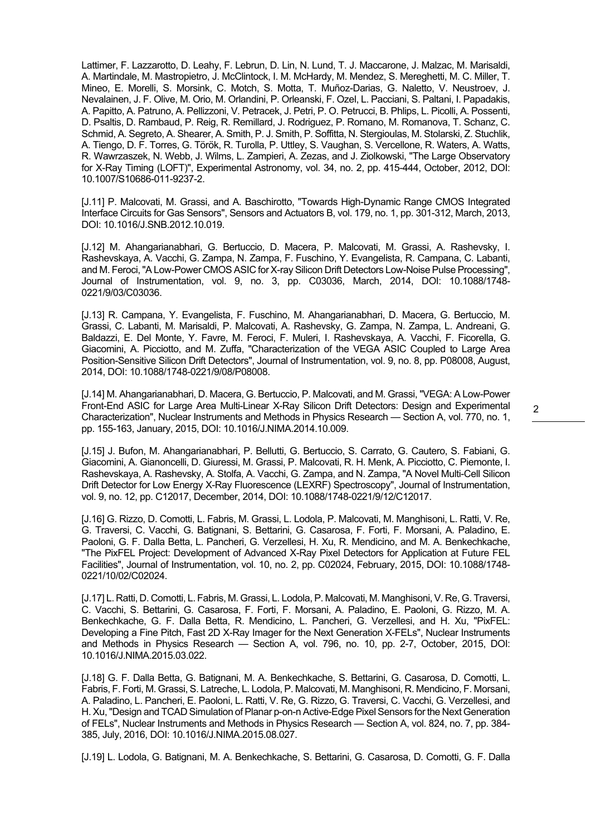Lattimer, F. Lazzarotto, D. Leahy, F. Lebrun, D. Lin, N. Lund, T. J. Maccarone, J. Malzac, M. Marisaldi, A. Martindale, M. Mastropietro, J. McClintock, I. M. McHardy, M. Mendez, S. Mereghetti, M. C. Miller, T. Mineo, E. Morelli, S. Morsink, C. Motch, S. Motta, T. Muñoz-Darias, G. Naletto, V. Neustroev, J. Nevalainen, J. F. Olive, M. Orio, M. Orlandini, P. Orleanski, F. Ozel, L. Pacciani, S. Paltani, I. Papadakis, A. Papitto, A. Patruno, A. Pellizzoni, V. Petracek, J. Petri, P. O. Petrucci, B. Phlips, L. Picolli, A. Possenti, D. Psaltis, D. Rambaud, P. Reig, R. Remillard, J. Rodriguez, P. Romano, M. Romanova, T. Schanz, C. Schmid, A. Segreto, A. Shearer, A. Smith, P. J. Smith, P. Soffitta, N. Stergioulas, M. Stolarski, Z. Stuchlik, A. Tiengo, D. F. Torres, G. Török, R. Turolla, P. Uttley, S. Vaughan, S. Vercellone, R. Waters, A. Watts, R. Wawrzaszek, N. Webb, J. Wilms, L. Zampieri, A. Zezas, and J. Ziolkowski, "The Large Observatory for X-Ray Timing (LOFT)", Experimental Astronomy, vol. 34, no. 2, pp. 415-444, October, 2012, DOI: 10.1007/S10686-011-9237-2.

[J.11] P. Malcovati, M. Grassi, and A. Baschirotto, "Towards High-Dynamic Range CMOS Integrated Interface Circuits for Gas Sensors", Sensors and Actuators B, vol. 179, no. 1, pp. 301-312, March, 2013, DOI: 10.1016/J.SNB.2012.10.019.

[J.12] M. Ahangarianabhari, G. Bertuccio, D. Macera, P. Malcovati, M. Grassi, A. Rashevsky, I. Rashevskaya, A. Vacchi, G. Zampa, N. Zampa, F. Fuschino, Y. Evangelista, R. Campana, C. Labanti, and M. Feroci, "A Low-Power CMOS ASIC for X-ray Silicon Drift Detectors Low-Noise Pulse Processing", Journal of Instrumentation, vol. 9, no. 3, pp. C03036, March, 2014, DOI: 10.1088/1748- 0221/9/03/C03036.

[J.13] R. Campana, Y. Evangelista, F. Fuschino, M. Ahangarianabhari, D. Macera, G. Bertuccio, M. Grassi, C. Labanti, M. Marisaldi, P. Malcovati, A. Rashevsky, G. Zampa, N. Zampa, L. Andreani, G. Baldazzi, E. Del Monte, Y. Favre, M. Feroci, F. Muleri, I. Rashevskaya, A. Vacchi, F. Ficorella, G. Giacomini, A. Picciotto, and M. Zuffa, "Characterization of the VEGA ASIC Coupled to Large Area Position-Sensitive Silicon Drift Detectors", Journal of Instrumentation, vol. 9, no. 8, pp. P08008, August, 2014, DOI: 10.1088/1748-0221/9/08/P08008.

[J.14] M. Ahangarianabhari, D. Macera, G. Bertuccio, P. Malcovati, and M. Grassi, "VEGA: A Low-Power Front-End ASIC for Large Area Multi-Linear X-Ray Silicon Drift Detectors: Design and Experimental Characterization", Nuclear Instruments and Methods in Physics Research — Section A, vol. 770, no. 1, pp. 155-163, January, 2015, DOI: 10.1016/J.NIMA.2014.10.009.

[J.15] J. Bufon, M. Ahangarianabhari, P. Bellutti, G. Bertuccio, S. Carrato, G. Cautero, S. Fabiani, G. Giacomini, A. Gianoncelli, D. Giuressi, M. Grassi, P. Malcovati, R. H. Menk, A. Picciotto, C. Piemonte, I. Rashevskaya, A. Rashevsky, A. Stolfa, A. Vacchi, G. Zampa, and N. Zampa, "A Novel Multi-Cell Silicon Drift Detector for Low Energy X-Ray Fluorescence (LEXRF) Spectroscopy", Journal of Instrumentation, vol. 9, no. 12, pp. C12017, December, 2014, DOI: 10.1088/1748-0221/9/12/C12017.

[J.16] G. Rizzo, D. Comotti, L. Fabris, M. Grassi, L. Lodola, P. Malcovati, M. Manghisoni, L. Ratti, V. Re, G. Traversi, C. Vacchi, G. Batignani, S. Bettarini, G. Casarosa, F. Forti, F. Morsani, A. Paladino, E. Paoloni, G. F. Dalla Betta, L. Pancheri, G. Verzellesi, H. Xu, R. Mendicino, and M. A. Benkechkache, "The PixFEL Project: Development of Advanced X-Ray Pixel Detectors for Application at Future FEL Facilities", Journal of Instrumentation, vol. 10, no. 2, pp. C02024, February, 2015, DOI: 10.1088/1748- 0221/10/02/C02024.

[J.17] L. Ratti, D. Comotti, L. Fabris, M. Grassi, L. Lodola, P. Malcovati, M. Manghisoni, V. Re, G. Traversi, C. Vacchi, S. Bettarini, G. Casarosa, F. Forti, F. Morsani, A. Paladino, E. Paoloni, G. Rizzo, M. A. Benkechkache, G. F. Dalla Betta, R. Mendicino, L. Pancheri, G. Verzellesi, and H. Xu, "PixFEL: Developing a Fine Pitch, Fast 2D X-Ray Imager for the Next Generation X-FELs", Nuclear Instruments and Methods in Physics Research — Section A, vol. 796, no. 10, pp. 2-7, October, 2015, DOI: 10.1016/J.NIMA.2015.03.022.

[J.18] G. F. Dalla Betta, G. Batignani, M. A. Benkechkache, S. Bettarini, G. Casarosa, D. Comotti, L. Fabris, F. Forti, M. Grassi, S. Latreche, L. Lodola, P. Malcovati, M. Manghisoni, R. Mendicino, F. Morsani, A. Paladino, L. Pancheri, E. Paoloni, L. Ratti, V. Re, G. Rizzo, G. Traversi, C. Vacchi, G. Verzellesi, and H. Xu, "Design and TCAD Simulation of Planar p-on-n Active-Edge Pixel Sensors for the Next Generation of FELs", Nuclear Instruments and Methods in Physics Research — Section A, vol. 824, no. 7, pp. 384- 385, July, 2016, DOI: 10.1016/J.NIMA.2015.08.027.

[J.19] L. Lodola, G. Batignani, M. A. Benkechkache, S. Bettarini, G. Casarosa, D. Comotti, G. F. Dalla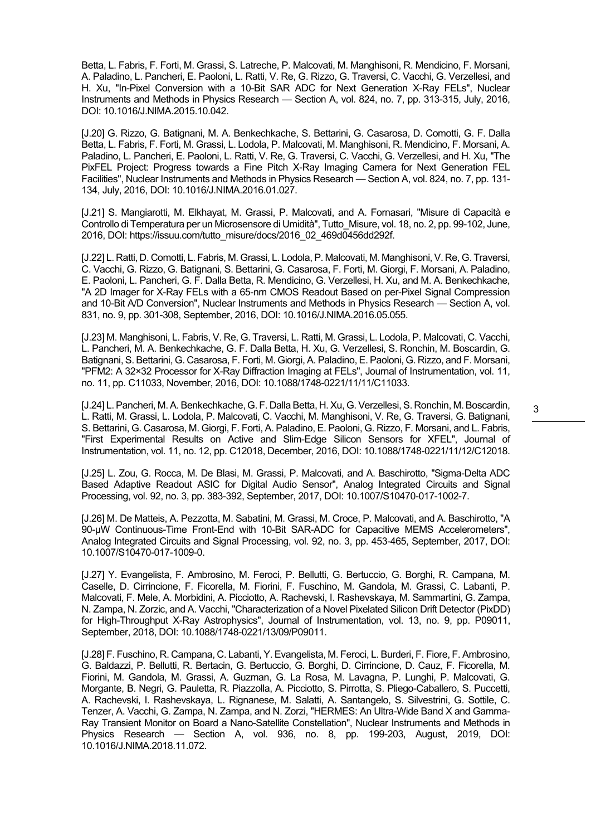Betta, L. Fabris, F. Forti, M. Grassi, S. Latreche, P. Malcovati, M. Manghisoni, R. Mendicino, F. Morsani, A. Paladino, L. Pancheri, E. Paoloni, L. Ratti, V. Re, G. Rizzo, G. Traversi, C. Vacchi, G. Verzellesi, and H. Xu, "In-Pixel Conversion with a 10-Bit SAR ADC for Next Generation X-Ray FELs", Nuclear Instruments and Methods in Physics Research — Section A, vol. 824, no. 7, pp. 313-315, July, 2016, DOI: 10.1016/J.NIMA.2015.10.042.

[J.20] G. Rizzo, G. Batignani, M. A. Benkechkache, S. Bettarini, G. Casarosa, D. Comotti, G. F. Dalla Betta, L. Fabris, F. Forti, M. Grassi, L. Lodola, P. Malcovati, M. Manghisoni, R. Mendicino, F. Morsani, A. Paladino, L. Pancheri, E. Paoloni, L. Ratti, V. Re, G. Traversi, C. Vacchi, G. Verzellesi, and H. Xu, "The PixFEL Project: Progress towards a Fine Pitch X-Ray Imaging Camera for Next Generation FEL Facilities", Nuclear Instruments and Methods in Physics Research — Section A, vol. 824, no. 7, pp. 131- 134, July, 2016, DOI: 10.1016/J.NIMA.2016.01.027.

[J.21] S. Mangiarotti, M. Elkhayat, M. Grassi, P. Malcovati, and A. Fornasari, "Misure di Capacità e Controllo di Temperatura per un Microsensore di Umidità", Tutto\_Misure, vol. 18, no. 2, pp. 99-102, June, 2016, DOI: https://issuu.com/tutto\_misure/docs/2016\_02\_469d0456dd292f.

[J.22] L. Ratti, D. Comotti, L. Fabris, M. Grassi, L. Lodola, P. Malcovati, M. Manghisoni, V. Re, G. Traversi, C. Vacchi, G. Rizzo, G. Batignani, S. Bettarini, G. Casarosa, F. Forti, M. Giorgi, F. Morsani, A. Paladino, E. Paoloni, L. Pancheri, G. F. Dalla Betta, R. Mendicino, G. Verzellesi, H. Xu, and M. A. Benkechkache, "A 2D Imager for X-Ray FELs with a 65-nm CMOS Readout Based on per-Pixel Signal Compression and 10-Bit A/D Conversion", Nuclear Instruments and Methods in Physics Research — Section A, vol. 831, no. 9, pp. 301-308, September, 2016, DOI: 10.1016/J.NIMA.2016.05.055.

[J.23] M. Manghisoni, L. Fabris, V. Re, G. Traversi, L. Ratti, M. Grassi, L. Lodola, P. Malcovati, C. Vacchi, L. Pancheri, M. A. Benkechkache, G. F. Dalla Betta, H. Xu, G. Verzellesi, S. Ronchin, M. Boscardin, G. Batignani, S. Bettarini, G. Casarosa, F. Forti, M. Giorgi, A. Paladino, E. Paoloni, G. Rizzo, and F. Morsani, "PFM2: A 32×32 Processor for X-Ray Diffraction Imaging at FELs", Journal of Instrumentation, vol. 11, no. 11, pp. C11033, November, 2016, DOI: 10.1088/1748-0221/11/11/C11033.

[J.24] L. Pancheri, M. A. Benkechkache, G. F. Dalla Betta, H. Xu, G. Verzellesi, S. Ronchin, M. Boscardin, L. Ratti, M. Grassi, L. Lodola, P. Malcovati, C. Vacchi, M. Manghisoni, V. Re, G. Traversi, G. Batignani, S. Bettarini, G. Casarosa, M. Giorgi, F. Forti, A. Paladino, E. Paoloni, G. Rizzo, F. Morsani, and L. Fabris, "First Experimental Results on Active and Slim-Edge Silicon Sensors for XFEL", Journal of Instrumentation, vol. 11, no. 12, pp. C12018, December, 2016, DOI: 10.1088/1748-0221/11/12/C12018.

[J.25] L. Zou, G. Rocca, M. De Blasi, M. Grassi, P. Malcovati, and A. Baschirotto, "Sigma-Delta ADC Based Adaptive Readout ASIC for Digital Audio Sensor", Analog Integrated Circuits and Signal Processing, vol. 92, no. 3, pp. 383-392, September, 2017, DOI: 10.1007/S10470-017-1002-7.

[J.26] M. De Matteis, A. Pezzotta, M. Sabatini, M. Grassi, M. Croce, P. Malcovati, and A. Baschirotto, "A 90-µW Continuous-Time Front-End with 10-Bit SAR-ADC for Capacitive MEMS Accelerometers", Analog Integrated Circuits and Signal Processing, vol. 92, no. 3, pp. 453-465, September, 2017, DOI: 10.1007/S10470-017-1009-0.

[J.27] Y. Evangelista, F. Ambrosino, M. Feroci, P. Bellutti, G. Bertuccio, G. Borghi, R. Campana, M. Caselle, D. Cirrincione, F. Ficorella, M. Fiorini, F. Fuschino, M. Gandola, M. Grassi, C. Labanti, P. Malcovati, F. Mele, A. Morbidini, A. Picciotto, A. Rachevski, I. Rashevskaya, M. Sammartini, G. Zampa, N. Zampa, N. Zorzic, and A. Vacchi, "Characterization of a Novel Pixelated Silicon Drift Detector (PixDD) for High-Throughput X-Ray Astrophysics", Journal of Instrumentation, vol. 13, no. 9, pp. P09011, September, 2018, DOI: 10.1088/1748-0221/13/09/P09011.

[J.28] F. Fuschino, R. Campana, C. Labanti, Y. Evangelista, M. Feroci, L. Burderi, F. Fiore, F. Ambrosino, G. Baldazzi, P. Bellutti, R. Bertacin, G. Bertuccio, G. Borghi, D. Cirrincione, D. Cauz, F. Ficorella, M. Fiorini, M. Gandola, M. Grassi, A. Guzman, G. La Rosa, M. Lavagna, P. Lunghi, P. Malcovati, G. Morgante, B. Negri, G. Pauletta, R. Piazzolla, A. Picciotto, S. Pirrotta, S. Pliego-Caballero, S. Puccetti, A. Rachevski, I. Rashevskaya, L. Rignanese, M. Salatti, A. Santangelo, S. Silvestrini, G. Sottile, C. Tenzer, A. Vacchi, G. Zampa, N. Zampa, and N. Zorzi, "HERMES: An Ultra-Wide Band X and Gamma-Ray Transient Monitor on Board a Nano-Satellite Constellation", Nuclear Instruments and Methods in Physics Research — Section A, vol. 936, no. 8, pp. 199-203, August, 2019, DOI: 10.1016/J.NIMA.2018.11.072.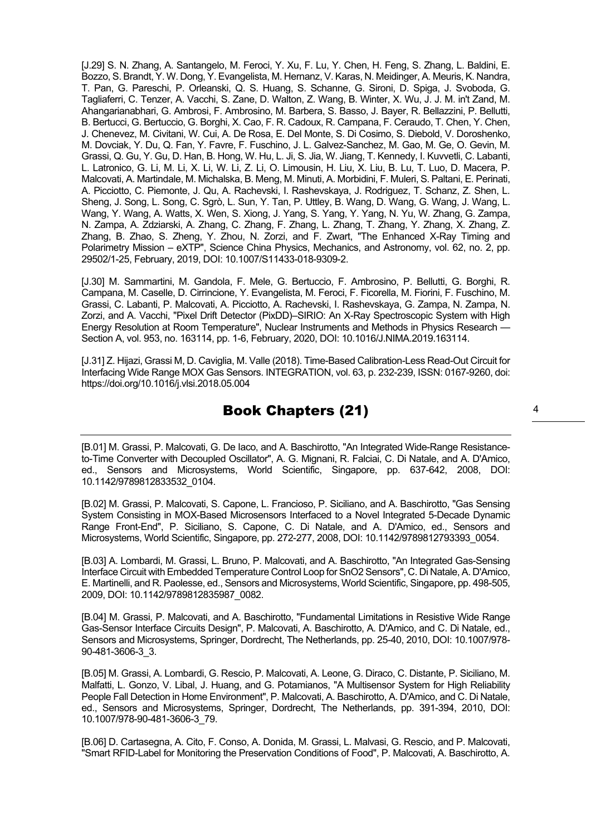[J.29] S. N. Zhang, A. Santangelo, M. Feroci, Y. Xu, F. Lu, Y. Chen, H. Feng, S. Zhang, L. Baldini, E. Bozzo, S. Brandt, Y. W. Dong, Y. Evangelista, M. Hernanz, V. Karas, N. Meidinger, A. Meuris, K. Nandra, T. Pan, G. Pareschi, P. Orleanski, Q. S. Huang, S. Schanne, G. Sironi, D. Spiga, J. Svoboda, G. Tagliaferri, C. Tenzer, A. Vacchi, S. Zane, D. Walton, Z. Wang, B. Winter, X. Wu, J. J. M. in't Zand, M. Ahangarianabhari, G. Ambrosi, F. Ambrosino, M. Barbera, S. Basso, J. Bayer, R. Bellazzini, P. Bellutti, B. Bertucci, G. Bertuccio, G. Borghi, X. Cao, F. R. Cadoux, R. Campana, F. Ceraudo, T. Chen, Y. Chen, J. Chenevez, M. Civitani, W. Cui, A. De Rosa, E. Del Monte, S. Di Cosimo, S. Diebold, V. Doroshenko, M. Dovciak, Y. Du, Q. Fan, Y. Favre, F. Fuschino, J. L. Galvez-Sanchez, M. Gao, M. Ge, O. Gevin, M. Grassi, Q. Gu, Y. Gu, D. Han, B. Hong, W. Hu, L. Ji, S. Jia, W. Jiang, T. Kennedy, I. Kuvvetli, C. Labanti, L. Latronico, G. Li, M. Li, X. Li, W. Li, Z. Li, O. Limousin, H. Liu, X. Liu, B. Lu, T. Luo, D. Macera, P. Malcovati, A. Martindale, M. Michalska, B. Meng, M. Minuti, A. Morbidini, F. Muleri, S. Paltani, E. Perinati, A. Picciotto, C. Piemonte, J. Qu, A. Rachevski, I. Rashevskaya, J. Rodriguez, T. Schanz, Z. Shen, L. Sheng, J. Song, L. Song, C. Sgrò, L. Sun, Y. Tan, P. Uttley, B. Wang, D. Wang, G. Wang, J. Wang, L. Wang, Y. Wang, A. Watts, X. Wen, S. Xiong, J. Yang, S. Yang, Y. Yang, N. Yu, W. Zhang, G. Zampa, N. Zampa, A. Zdziarski, A. Zhang, C. Zhang, F. Zhang, L. Zhang, T. Zhang, Y. Zhang, X. Zhang, Z. Zhang, B. Zhao, S. Zheng, Y. Zhou, N. Zorzi, and F. Zwart, "The Enhanced X-Ray Timing and Polarimetry Mission – eXTP", Science China Physics, Mechanics, and Astronomy, vol. 62, no. 2, pp. 29502/1-25, February, 2019, DOI: 10.1007/S11433-018-9309-2.

[J.30] M. Sammartini, M. Gandola, F. Mele, G. Bertuccio, F. Ambrosino, P. Bellutti, G. Borghi, R. Campana, M. Caselle, D. Cirrincione, Y. Evangelista, M. Feroci, F. Ficorella, M. Fiorini, F. Fuschino, M. Grassi, C. Labanti, P. Malcovati, A. Picciotto, A. Rachevski, I. Rashevskaya, G. Zampa, N. Zampa, N. Zorzi, and A. Vacchi, "Pixel Drift Detector (PixDD)–SIRIO: An X-Ray Spectroscopic System with High Energy Resolution at Room Temperature", Nuclear Instruments and Methods in Physics Research — Section A, vol. 953, no. 163114, pp. 1-6, February, 2020, DOI: 10.1016/J.NIMA.2019.163114.

[J.31] Z. Hijazi, Grassi M, D. Caviglia, M. Valle (2018). Time-Based Calibration-Less Read-Out Circuit for Interfacing Wide Range MOX Gas Sensors. INTEGRATION, vol. 63, p. 232-239, ISSN: 0167-9260, doi: https://doi.org/10.1016/j.vlsi.2018.05.004

## Book Chapters (21)

[B.01] M. Grassi, P. Malcovati, G. De Iaco, and A. Baschirotto, "An Integrated Wide-Range Resistanceto-Time Converter with Decoupled Oscillator", A. G. Mignani, R. Falciai, C. Di Natale, and A. D'Amico, ed., Sensors and Microsystems, World Scientific, Singapore, pp. 637-642, 2008, DOI: 10.1142/9789812833532\_0104.

[B.02] M. Grassi, P. Malcovati, S. Capone, L. Francioso, P. Siciliano, and A. Baschirotto, "Gas Sensing System Consisting in MOX-Based Microsensors Interfaced to a Novel Integrated 5-Decade Dynamic Range Front-End", P. Siciliano, S. Capone, C. Di Natale, and A. D'Amico, ed., Sensors and Microsystems, World Scientific, Singapore, pp. 272-277, 2008, DOI: 10.1142/9789812793393\_0054.

[B.03] A. Lombardi, M. Grassi, L. Bruno, P. Malcovati, and A. Baschirotto, "An Integrated Gas-Sensing Interface Circuit with Embedded Temperature Control Loop for SnO2 Sensors", C. Di Natale, A. D'Amico, E. Martinelli, and R. Paolesse, ed., Sensors and Microsystems, World Scientific, Singapore, pp. 498-505, 2009, DOI: 10.1142/9789812835987\_0082.

[B.04] M. Grassi, P. Malcovati, and A. Baschirotto, "Fundamental Limitations in Resistive Wide Range Gas-Sensor Interface Circuits Design", P. Malcovati, A. Baschirotto, A. D'Amico, and C. Di Natale, ed., Sensors and Microsystems, Springer, Dordrecht, The Netherlands, pp. 25-40, 2010, DOI: 10.1007/978- 90-481-3606-3\_3.

[B.05] M. Grassi, A. Lombardi, G. Rescio, P. Malcovati, A. Leone, G. Diraco, C. Distante, P. Siciliano, M. Malfatti, L. Gonzo, V. Libal, J. Huang, and G. Potamianos, "A Multisensor System for High Reliability People Fall Detection in Home Environment", P. Malcovati, A. Baschirotto, A. D'Amico, and C. Di Natale, ed., Sensors and Microsystems, Springer, Dordrecht, The Netherlands, pp. 391-394, 2010, DOI: 10.1007/978-90-481-3606-3\_79.

[B.06] D. Cartasegna, A. Cito, F. Conso, A. Donida, M. Grassi, L. Malvasi, G. Rescio, and P. Malcovati, "Smart RFID-Label for Monitoring the Preservation Conditions of Food", P. Malcovati, A. Baschirotto, A.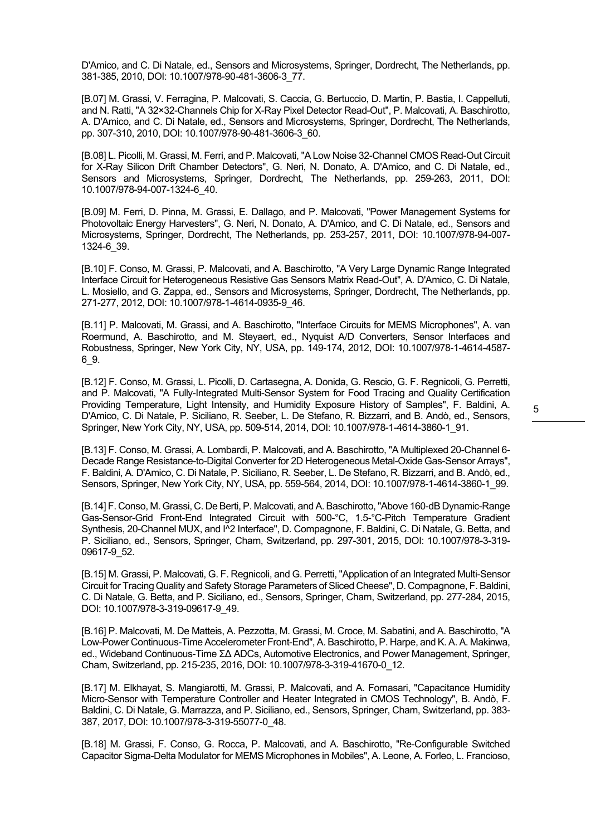D'Amico, and C. Di Natale, ed., Sensors and Microsystems, Springer, Dordrecht, The Netherlands, pp. 381-385, 2010, DOI: 10.1007/978-90-481-3606-3\_77.

[B.07] M. Grassi, V. Ferragina, P. Malcovati, S. Caccia, G. Bertuccio, D. Martin, P. Bastia, I. Cappelluti, and N. Ratti, "A 32×32-Channels Chip for X-Ray Pixel Detector Read-Out", P. Malcovati, A. Baschirotto, A. D'Amico, and C. Di Natale, ed., Sensors and Microsystems, Springer, Dordrecht, The Netherlands, pp. 307-310, 2010, DOI: 10.1007/978-90-481-3606-3\_60.

[B.08] L. Picolli, M. Grassi, M. Ferri, and P. Malcovati, "A Low Noise 32-Channel CMOS Read-Out Circuit for X-Ray Silicon Drift Chamber Detectors", G. Neri, N. Donato, A. D'Amico, and C. Di Natale, ed., Sensors and Microsystems, Springer, Dordrecht, The Netherlands, pp. 259-263, 2011, DOI: 10.1007/978-94-007-1324-6\_40.

[B.09] M. Ferri, D. Pinna, M. Grassi, E. Dallago, and P. Malcovati, "Power Management Systems for Photovoltaic Energy Harvesters", G. Neri, N. Donato, A. D'Amico, and C. Di Natale, ed., Sensors and Microsystems, Springer, Dordrecht, The Netherlands, pp. 253-257, 2011, DOI: 10.1007/978-94-007- 1324-6\_39.

[B.10] F. Conso, M. Grassi, P. Malcovati, and A. Baschirotto, "A Very Large Dynamic Range Integrated Interface Circuit for Heterogeneous Resistive Gas Sensors Matrix Read-Out", A. D'Amico, C. Di Natale, L. Mosiello, and G. Zappa, ed., Sensors and Microsystems, Springer, Dordrecht, The Netherlands, pp. 271-277, 2012, DOI: 10.1007/978-1-4614-0935-9\_46.

[B.11] P. Malcovati, M. Grassi, and A. Baschirotto, "Interface Circuits for MEMS Microphones", A. van Roermund, A. Baschirotto, and M. Steyaert, ed., Nyquist A/D Converters, Sensor Interfaces and Robustness, Springer, New York City, NY, USA, pp. 149-174, 2012, DOI: 10.1007/978-1-4614-4587- 6\_9.

[B.12] F. Conso, M. Grassi, L. Picolli, D. Cartasegna, A. Donida, G. Rescio, G. F. Regnicoli, G. Perretti, and P. Malcovati, "A Fully-Integrated Multi-Sensor System for Food Tracing and Quality Certification Providing Temperature, Light Intensity, and Humidity Exposure History of Samples", F. Baldini, A. D'Amico, C. Di Natale, P. Siciliano, R. Seeber, L. De Stefano, R. Bizzarri, and B. Andò, ed., Sensors, Springer, New York City, NY, USA, pp. 509-514, 2014, DOI: 10.1007/978-1-4614-3860-1\_91.

[B.13] F. Conso, M. Grassi, A. Lombardi, P. Malcovati, and A. Baschirotto, "A Multiplexed 20-Channel 6- Decade Range Resistance-to-Digital Converter for 2D Heterogeneous Metal-Oxide Gas-Sensor Arrays", F. Baldini, A. D'Amico, C. Di Natale, P. Siciliano, R. Seeber, L. De Stefano, R. Bizzarri, and B. Andò, ed., Sensors, Springer, New York City, NY, USA, pp. 559-564, 2014, DOI: 10.1007/978-1-4614-3860-1\_99.

[B.14] F. Conso, M. Grassi, C. De Berti, P. Malcovati, and A. Baschirotto, "Above 160-dB Dynamic-Range Gas-Sensor-Grid Front-End Integrated Circuit with 500-°C, 1.5-°C-Pitch Temperature Gradient Synthesis, 20-Channel MUX, and I^2 Interface", D. Compagnone, F. Baldini, C. Di Natale, G. Betta, and P. Siciliano, ed., Sensors, Springer, Cham, Switzerland, pp. 297-301, 2015, DOI: 10.1007/978-3-319- 09617-9\_52.

[B.15] M. Grassi, P. Malcovati, G. F. Regnicoli, and G. Perretti, "Application of an Integrated Multi-Sensor Circuit for Tracing Quality and Safety Storage Parameters of Sliced Cheese", D. Compagnone, F. Baldini, C. Di Natale, G. Betta, and P. Siciliano, ed., Sensors, Springer, Cham, Switzerland, pp. 277-284, 2015, DOI: 10.1007/978-3-319-09617-9\_49.

[B.16] P. Malcovati, M. De Matteis, A. Pezzotta, M. Grassi, M. Croce, M. Sabatini, and A. Baschirotto, "A Low-Power Continuous-Time Accelerometer Front-End", A. Baschirotto, P. Harpe, and K. A. A. Makinwa, ed., Wideband Continuous-Time ΣΔ ADCs, Automotive Electronics, and Power Management, Springer, Cham, Switzerland, pp. 215-235, 2016, DOI: 10.1007/978-3-319-41670-0\_12.

[B.17] M. Elkhayat, S. Mangiarotti, M. Grassi, P. Malcovati, and A. Fornasari, "Capacitance Humidity Micro-Sensor with Temperature Controller and Heater Integrated in CMOS Technology", B. Andò, F. Baldini, C. Di Natale, G. Marrazza, and P. Siciliano, ed., Sensors, Springer, Cham, Switzerland, pp. 383- 387, 2017, DOI: 10.1007/978-3-319-55077-0\_48.

[B.18] M. Grassi, F. Conso, G. Rocca, P. Malcovati, and A. Baschirotto, "Re-Configurable Switched Capacitor Sigma-Delta Modulator for MEMS Microphones in Mobiles", A. Leone, A. Forleo, L. Francioso,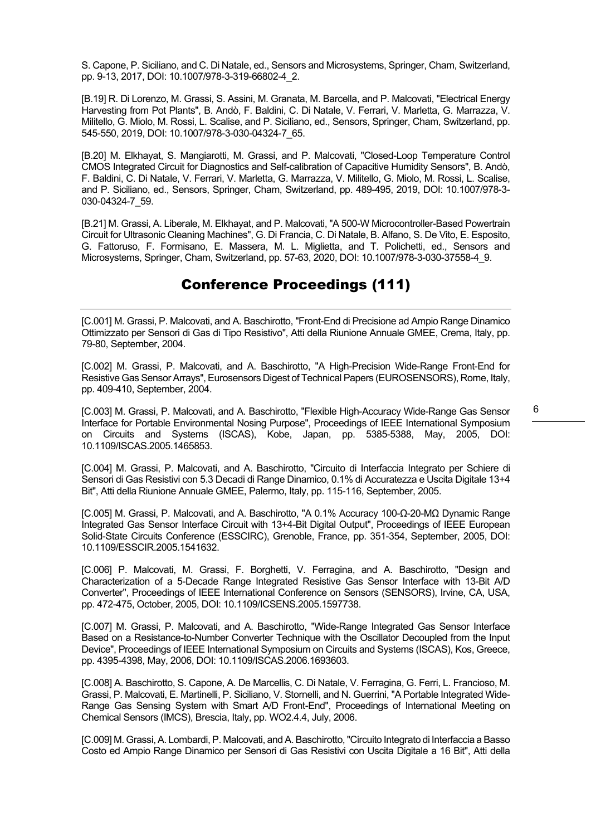S. Capone, P. Siciliano, and C. Di Natale, ed., Sensors and Microsystems, Springer, Cham, Switzerland, pp. 9-13, 2017, DOI: 10.1007/978-3-319-66802-4\_2.

[B.19] R. Di Lorenzo, M. Grassi, S. Assini, M. Granata, M. Barcella, and P. Malcovati, "Electrical Energy Harvesting from Pot Plants", B. Andò, F. Baldini, C. Di Natale, V. Ferrari, V. Marletta, G. Marrazza, V. Militello, G. Miolo, M. Rossi, L. Scalise, and P. Siciliano, ed., Sensors, Springer, Cham, Switzerland, pp. 545-550, 2019, DOI: 10.1007/978-3-030-04324-7\_65.

[B.20] M. Elkhayat, S. Mangiarotti, M. Grassi, and P. Malcovati, "Closed-Loop Temperature Control CMOS Integrated Circuit for Diagnostics and Self-calibration of Capacitive Humidity Sensors", B. Andò, F. Baldini, C. Di Natale, V. Ferrari, V. Marletta, G. Marrazza, V. Militello, G. Miolo, M. Rossi, L. Scalise, and P. Siciliano, ed., Sensors, Springer, Cham, Switzerland, pp. 489-495, 2019, DOI: 10.1007/978-3- 030-04324-7\_59.

[B.21] M. Grassi, A. Liberale, M. Elkhayat, and P. Malcovati, "A 500-W Microcontroller-Based Powertrain Circuit for Ultrasonic Cleaning Machines", G. Di Francia, C. Di Natale, B. Alfano, S. De Vito, E. Esposito, G. Fattoruso, F. Formisano, E. Massera, M. L. Miglietta, and T. Polichetti, ed., Sensors and Microsystems, Springer, Cham, Switzerland, pp. 57-63, 2020, DOI: 10.1007/978-3-030-37558-4\_9.

## Conference Proceedings (111)

[C.001] M. Grassi, P. Malcovati, and A. Baschirotto, "Front-End di Precisione ad Ampio Range Dinamico Ottimizzato per Sensori di Gas di Tipo Resistivo", Atti della Riunione Annuale GMEE, Crema, Italy, pp. 79-80, September, 2004.

[C.002] M. Grassi, P. Malcovati, and A. Baschirotto, "A High-Precision Wide-Range Front-End for Resistive Gas Sensor Arrays", Eurosensors Digest of Technical Papers (EUROSENSORS), Rome, Italy, pp. 409-410, September, 2004.

[C.003] M. Grassi, P. Malcovati, and A. Baschirotto, "Flexible High-Accuracy Wide-Range Gas Sensor Interface for Portable Environmental Nosing Purpose", Proceedings of IEEE International Symposium on Circuits and Systems (ISCAS), Kobe, Japan, pp. 5385-5388, May, 2005, DOI: 10.1109/ISCAS.2005.1465853.

[C.004] M. Grassi, P. Malcovati, and A. Baschirotto, "Circuito di Interfaccia Integrato per Schiere di Sensori di Gas Resistivi con 5.3 Decadi di Range Dinamico, 0.1% di Accuratezza e Uscita Digitale 13+4 Bit", Atti della Riunione Annuale GMEE, Palermo, Italy, pp. 115-116, September, 2005.

[C.005] M. Grassi, P. Malcovati, and A. Baschirotto, "A 0.1% Accuracy 100-Ω-20-MΩ Dynamic Range Integrated Gas Sensor Interface Circuit with 13+4-Bit Digital Output", Proceedings of IEEE European Solid-State Circuits Conference (ESSCIRC), Grenoble, France, pp. 351-354, September, 2005, DOI: 10.1109/ESSCIR.2005.1541632.

[C.006] P. Malcovati, M. Grassi, F. Borghetti, V. Ferragina, and A. Baschirotto, "Design and Characterization of a 5-Decade Range Integrated Resistive Gas Sensor Interface with 13-Bit A/D Converter", Proceedings of IEEE International Conference on Sensors (SENSORS), Irvine, CA, USA, pp. 472-475, October, 2005, DOI: 10.1109/ICSENS.2005.1597738.

[C.007] M. Grassi, P. Malcovati, and A. Baschirotto, "Wide-Range Integrated Gas Sensor Interface Based on a Resistance-to-Number Converter Technique with the Oscillator Decoupled from the Input Device", Proceedings of IEEE International Symposium on Circuits and Systems (ISCAS), Kos, Greece, pp. 4395-4398, May, 2006, DOI: 10.1109/ISCAS.2006.1693603.

[C.008] A. Baschirotto, S. Capone, A. De Marcellis, C. Di Natale, V. Ferragina, G. Ferri, L. Francioso, M. Grassi, P. Malcovati, E. Martinelli, P. Siciliano, V. Stornelli, and N. Guerrini, "A Portable Integrated Wide-Range Gas Sensing System with Smart A/D Front-End", Proceedings of International Meeting on Chemical Sensors (IMCS), Brescia, Italy, pp. WO2.4.4, July, 2006.

[C.009] M. Grassi, A. Lombardi, P. Malcovati, and A. Baschirotto, "Circuito Integrato di Interfaccia a Basso Costo ed Ampio Range Dinamico per Sensori di Gas Resistivi con Uscita Digitale a 16 Bit", Atti della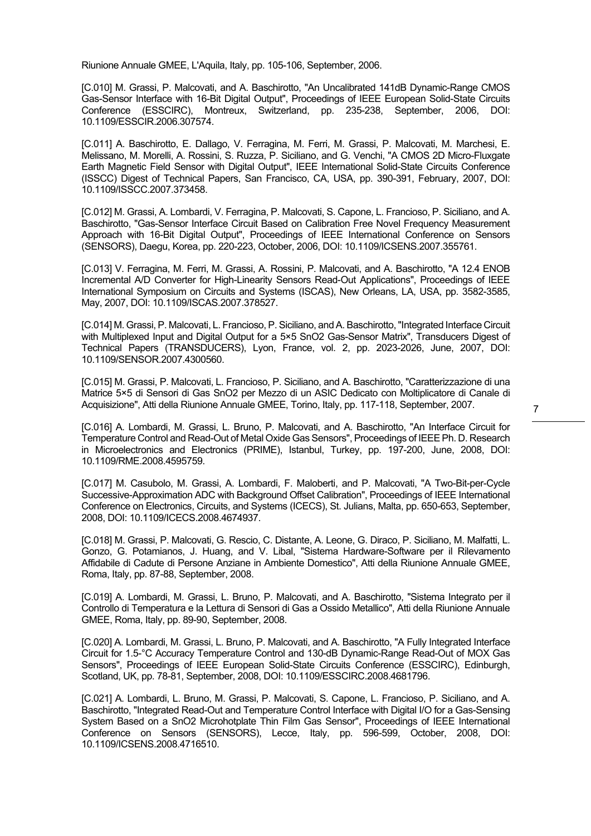Riunione Annuale GMEE, L'Aquila, Italy, pp. 105-106, September, 2006.

[C.010] M. Grassi, P. Malcovati, and A. Baschirotto, "An Uncalibrated 141dB Dynamic-Range CMOS Gas-Sensor Interface with 16-Bit Digital Output", Proceedings of IEEE European Solid-State Circuits Conference (ESSCIRC), Montreux, Switzerland, pp. 235-238, September, 2006, DOI: 10.1109/ESSCIR.2006.307574.

[C.011] A. Baschirotto, E. Dallago, V. Ferragina, M. Ferri, M. Grassi, P. Malcovati, M. Marchesi, E. Melissano, M. Morelli, A. Rossini, S. Ruzza, P. Siciliano, and G. Venchi, "A CMOS 2D Micro-Fluxgate Earth Magnetic Field Sensor with Digital Output", IEEE International Solid-State Circuits Conference (ISSCC) Digest of Technical Papers, San Francisco, CA, USA, pp. 390-391, February, 2007, DOI: 10.1109/ISSCC.2007.373458.

[C.012] M. Grassi, A. Lombardi, V. Ferragina, P. Malcovati, S. Capone, L. Francioso, P. Siciliano, and A. Baschirotto, "Gas-Sensor Interface Circuit Based on Calibration Free Novel Frequency Measurement Approach with 16-Bit Digital Output", Proceedings of IEEE International Conference on Sensors (SENSORS), Daegu, Korea, pp. 220-223, October, 2006, DOI: 10.1109/ICSENS.2007.355761.

[C.013] V. Ferragina, M. Ferri, M. Grassi, A. Rossini, P. Malcovati, and A. Baschirotto, "A 12.4 ENOB Incremental A/D Converter for High-Linearity Sensors Read-Out Applications", Proceedings of IEEE International Symposium on Circuits and Systems (ISCAS), New Orleans, LA, USA, pp. 3582-3585, May, 2007, DOI: 10.1109/ISCAS.2007.378527.

[C.014] M. Grassi, P. Malcovati, L. Francioso, P. Siciliano, and A. Baschirotto, "Integrated Interface Circuit with Multiplexed Input and Digital Output for a 5×5 SnO2 Gas-Sensor Matrix", Transducers Digest of Technical Papers (TRANSDUCERS), Lyon, France, vol. 2, pp. 2023-2026, June, 2007, DOI: 10.1109/SENSOR.2007.4300560.

[C.015] M. Grassi, P. Malcovati, L. Francioso, P. Siciliano, and A. Baschirotto, "Caratterizzazione di una Matrice 5×5 di Sensori di Gas SnO2 per Mezzo di un ASIC Dedicato con Moltiplicatore di Canale di Acquisizione", Atti della Riunione Annuale GMEE, Torino, Italy, pp. 117-118, September, 2007.

[C.016] A. Lombardi, M. Grassi, L. Bruno, P. Malcovati, and A. Baschirotto, "An Interface Circuit for Temperature Control and Read-Out of Metal Oxide Gas Sensors", Proceedings of IEEE Ph. D. Research in Microelectronics and Electronics (PRIME), Istanbul, Turkey, pp. 197-200, June, 2008, DOI: 10.1109/RME.2008.4595759.

[C.017] M. Casubolo, M. Grassi, A. Lombardi, F. Maloberti, and P. Malcovati, "A Two-Bit-per-Cycle Successive-Approximation ADC with Background Offset Calibration", Proceedings of IEEE International Conference on Electronics, Circuits, and Systems (ICECS), St. Julians, Malta, pp. 650-653, September, 2008, DOI: 10.1109/ICECS.2008.4674937.

[C.018] M. Grassi, P. Malcovati, G. Rescio, C. Distante, A. Leone, G. Diraco, P. Siciliano, M. Malfatti, L. Gonzo, G. Potamianos, J. Huang, and V. Libal, "Sistema Hardware-Software per il Rilevamento Affidabile di Cadute di Persone Anziane in Ambiente Domestico", Atti della Riunione Annuale GMEE, Roma, Italy, pp. 87-88, September, 2008.

[C.019] A. Lombardi, M. Grassi, L. Bruno, P. Malcovati, and A. Baschirotto, "Sistema Integrato per il Controllo di Temperatura e la Lettura di Sensori di Gas a Ossido Metallico", Atti della Riunione Annuale GMEE, Roma, Italy, pp. 89-90, September, 2008.

[C.020] A. Lombardi, M. Grassi, L. Bruno, P. Malcovati, and A. Baschirotto, "A Fully Integrated Interface Circuit for 1.5-°C Accuracy Temperature Control and 130-dB Dynamic-Range Read-Out of MOX Gas Sensors", Proceedings of IEEE European Solid-State Circuits Conference (ESSCIRC), Edinburgh, Scotland, UK, pp. 78-81, September, 2008, DOI: 10.1109/ESSCIRC.2008.4681796.

[C.021] A. Lombardi, L. Bruno, M. Grassi, P. Malcovati, S. Capone, L. Francioso, P. Siciliano, and A. Baschirotto, "Integrated Read-Out and Temperature Control Interface with Digital I/O for a Gas-Sensing System Based on a SnO2 Microhotplate Thin Film Gas Sensor", Proceedings of IEEE International Conference on Sensors (SENSORS), Lecce, Italy, pp. 596-599, October, 2008, DOI: 10.1109/ICSENS.2008.4716510.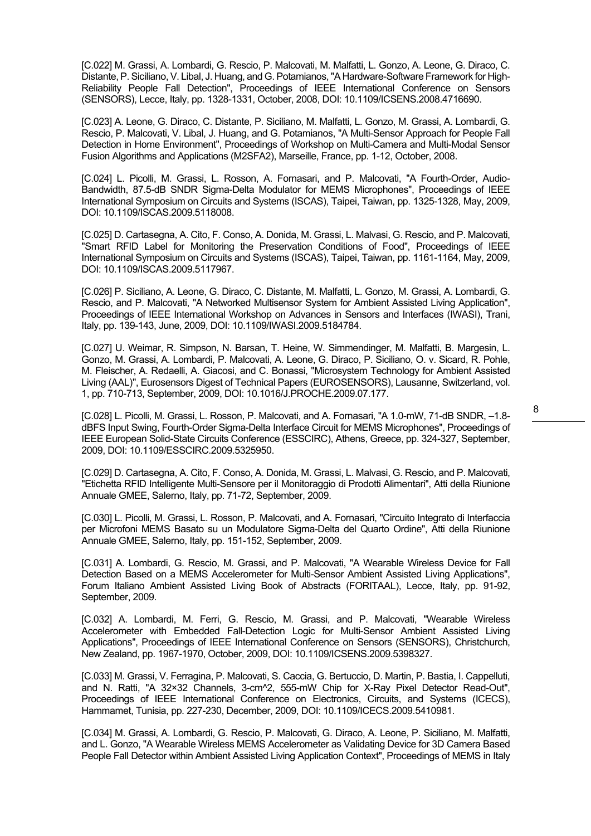[C.022] M. Grassi, A. Lombardi, G. Rescio, P. Malcovati, M. Malfatti, L. Gonzo, A. Leone, G. Diraco, C. Distante, P. Siciliano, V. Libal, J. Huang, and G. Potamianos, "A Hardware-Software Framework for High-Reliability People Fall Detection", Proceedings of IEEE International Conference on Sensors (SENSORS), Lecce, Italy, pp. 1328-1331, October, 2008, DOI: 10.1109/ICSENS.2008.4716690.

[C.023] A. Leone, G. Diraco, C. Distante, P. Siciliano, M. Malfatti, L. Gonzo, M. Grassi, A. Lombardi, G. Rescio, P. Malcovati, V. Libal, J. Huang, and G. Potamianos, "A Multi-Sensor Approach for People Fall Detection in Home Environment", Proceedings of Workshop on Multi-Camera and Multi-Modal Sensor Fusion Algorithms and Applications (M2SFA2), Marseille, France, pp. 1-12, October, 2008.

[C.024] L. Picolli, M. Grassi, L. Rosson, A. Fornasari, and P. Malcovati, "A Fourth-Order, Audio-Bandwidth, 87.5-dB SNDR Sigma-Delta Modulator for MEMS Microphones", Proceedings of IEEE International Symposium on Circuits and Systems (ISCAS), Taipei, Taiwan, pp. 1325-1328, May, 2009, DOI: 10.1109/ISCAS.2009.5118008.

[C.025] D. Cartasegna, A. Cito, F. Conso, A. Donida, M. Grassi, L. Malvasi, G. Rescio, and P. Malcovati, "Smart RFID Label for Monitoring the Preservation Conditions of Food", Proceedings of IEEE International Symposium on Circuits and Systems (ISCAS), Taipei, Taiwan, pp. 1161-1164, May, 2009, DOI: 10.1109/ISCAS.2009.5117967.

[C.026] P. Siciliano, A. Leone, G. Diraco, C. Distante, M. Malfatti, L. Gonzo, M. Grassi, A. Lombardi, G. Rescio, and P. Malcovati, "A Networked Multisensor System for Ambient Assisted Living Application", Proceedings of IEEE International Workshop on Advances in Sensors and Interfaces (IWASI), Trani, Italy, pp. 139-143, June, 2009, DOI: 10.1109/IWASI.2009.5184784.

[C.027] U. Weimar, R. Simpson, N. Barsan, T. Heine, W. Simmendinger, M. Malfatti, B. Margesin, L. Gonzo, M. Grassi, A. Lombardi, P. Malcovati, A. Leone, G. Diraco, P. Siciliano, O. v. Sicard, R. Pohle, M. Fleischer, A. Redaelli, A. Giacosi, and C. Bonassi, "Microsystem Technology for Ambient Assisted Living (AAL)", Eurosensors Digest of Technical Papers (EUROSENSORS), Lausanne, Switzerland, vol. 1, pp. 710-713, September, 2009, DOI: 10.1016/J.PROCHE.2009.07.177.

[C.028] L. Picolli, M. Grassi, L. Rosson, P. Malcovati, and A. Fornasari, "A 1.0-mW, 71-dB SNDR, –1.8 dBFS Input Swing, Fourth-Order Sigma-Delta Interface Circuit for MEMS Microphones", Proceedings of IEEE European Solid-State Circuits Conference (ESSCIRC), Athens, Greece, pp. 324-327, September, 2009, DOI: 10.1109/ESSCIRC.2009.5325950.

[C.029] D. Cartasegna, A. Cito, F. Conso, A. Donida, M. Grassi, L. Malvasi, G. Rescio, and P. Malcovati, "Etichetta RFID Intelligente Multi-Sensore per il Monitoraggio di Prodotti Alimentari", Atti della Riunione Annuale GMEE, Salerno, Italy, pp. 71-72, September, 2009.

[C.030] L. Picolli, M. Grassi, L. Rosson, P. Malcovati, and A. Fornasari, "Circuito Integrato di Interfaccia per Microfoni MEMS Basato su un Modulatore Sigma-Delta del Quarto Ordine", Atti della Riunione Annuale GMEE, Salerno, Italy, pp. 151-152, September, 2009.

[C.031] A. Lombardi, G. Rescio, M. Grassi, and P. Malcovati, "A Wearable Wireless Device for Fall Detection Based on a MEMS Accelerometer for Multi-Sensor Ambient Assisted Living Applications", Forum Italiano Ambient Assisted Living Book of Abstracts (FORITAAL), Lecce, Italy, pp. 91-92, September, 2009.

[C.032] A. Lombardi, M. Ferri, G. Rescio, M. Grassi, and P. Malcovati, "Wearable Wireless Accelerometer with Embedded Fall-Detection Logic for Multi-Sensor Ambient Assisted Living Applications", Proceedings of IEEE International Conference on Sensors (SENSORS), Christchurch, New Zealand, pp. 1967-1970, October, 2009, DOI: 10.1109/ICSENS.2009.5398327.

[C.033] M. Grassi, V. Ferragina, P. Malcovati, S. Caccia, G. Bertuccio, D. Martin, P. Bastia, I. Cappelluti, and N. Ratti, "A 32×32 Channels, 3-cm^2, 555-mW Chip for X-Ray Pixel Detector Read-Out", Proceedings of IEEE International Conference on Electronics, Circuits, and Systems (ICECS), Hammamet, Tunisia, pp. 227-230, December, 2009, DOI: 10.1109/ICECS.2009.5410981.

[C.034] M. Grassi, A. Lombardi, G. Rescio, P. Malcovati, G. Diraco, A. Leone, P. Siciliano, M. Malfatti, and L. Gonzo, "A Wearable Wireless MEMS Accelerometer as Validating Device for 3D Camera Based People Fall Detector within Ambient Assisted Living Application Context", Proceedings of MEMS in Italy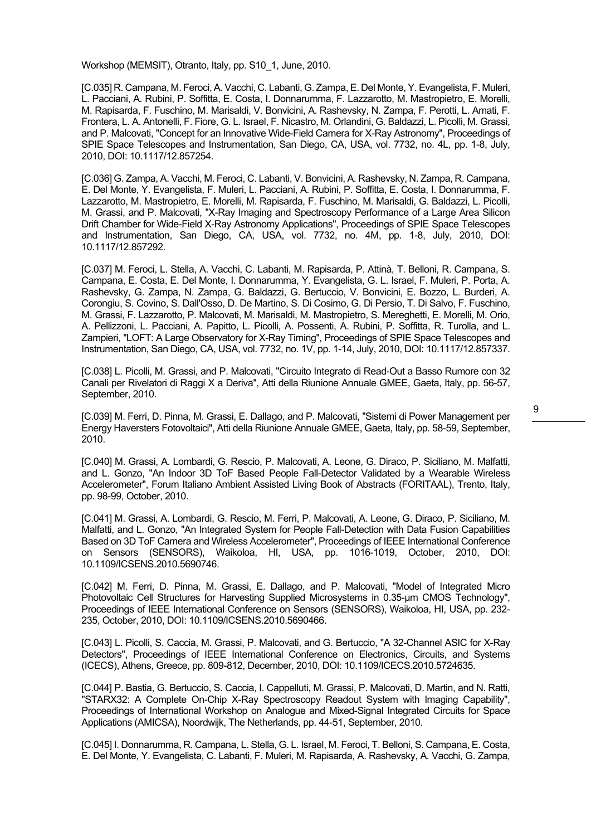Workshop (MEMSIT), Otranto, Italy, pp. S10\_1, June, 2010.

[C.035] R. Campana, M. Feroci, A. Vacchi, C. Labanti, G. Zampa, E. Del Monte, Y. Evangelista, F. Muleri, L. Pacciani, A. Rubini, P. Soffitta, E. Costa, I. Donnarumma, F. Lazzarotto, M. Mastropietro, E. Morelli, M. Rapisarda, F. Fuschino, M. Marisaldi, V. Bonvicini, A. Rashevsky, N. Zampa, F. Perotti, L. Amati, F. Frontera, L. A. Antonelli, F. Fiore, G. L. Israel, F. Nicastro, M. Orlandini, G. Baldazzi, L. Picolli, M. Grassi, and P. Malcovati, "Concept for an Innovative Wide-Field Camera for X-Ray Astronomy", Proceedings of SPIE Space Telescopes and Instrumentation, San Diego, CA, USA, vol. 7732, no. 4L, pp. 1-8, July, 2010, DOI: 10.1117/12.857254.

[C.036] G. Zampa, A. Vacchi, M. Feroci, C. Labanti, V. Bonvicini, A. Rashevsky, N. Zampa, R. Campana, E. Del Monte, Y. Evangelista, F. Muleri, L. Pacciani, A. Rubini, P. Soffitta, E. Costa, I. Donnarumma, F. Lazzarotto, M. Mastropietro, E. Morelli, M. Rapisarda, F. Fuschino, M. Marisaldi, G. Baldazzi, L. Picolli, M. Grassi, and P. Malcovati, "X-Ray Imaging and Spectroscopy Performance of a Large Area Silicon Drift Chamber for Wide-Field X-Ray Astronomy Applications", Proceedings of SPIE Space Telescopes and Instrumentation, San Diego, CA, USA, vol. 7732, no. 4M, pp. 1-8, July, 2010, DOI: 10.1117/12.857292.

[C.037] M. Feroci, L. Stella, A. Vacchi, C. Labanti, M. Rapisarda, P. Attinà, T. Belloni, R. Campana, S. Campana, E. Costa, E. Del Monte, I. Donnarumma, Y. Evangelista, G. L. Israel, F. Muleri, P. Porta, A. Rashevsky, G. Zampa, N. Zampa, G. Baldazzi, G. Bertuccio, V. Bonvicini, E. Bozzo, L. Burderi, A. Corongiu, S. Covino, S. Dall'Osso, D. De Martino, S. Di Cosimo, G. Di Persio, T. Di Salvo, F. Fuschino, M. Grassi, F. Lazzarotto, P. Malcovati, M. Marisaldi, M. Mastropietro, S. Mereghetti, E. Morelli, M. Orio, A. Pellizzoni, L. Pacciani, A. Papitto, L. Picolli, A. Possenti, A. Rubini, P. Soffitta, R. Turolla, and L. Zampieri, "LOFT: A Large Observatory for X-Ray Timing", Proceedings of SPIE Space Telescopes and Instrumentation, San Diego, CA, USA, vol. 7732, no. 1V, pp. 1-14, July, 2010, DOI: 10.1117/12.857337.

[C.038] L. Picolli, M. Grassi, and P. Malcovati, "Circuito Integrato di Read-Out a Basso Rumore con 32 Canali per Rivelatori di Raggi X a Deriva", Atti della Riunione Annuale GMEE, Gaeta, Italy, pp. 56-57, September, 2010.

[C.039] M. Ferri, D. Pinna, M. Grassi, E. Dallago, and P. Malcovati, "Sistemi di Power Management per Energy Haversters Fotovoltaici", Atti della Riunione Annuale GMEE, Gaeta, Italy, pp. 58-59, September, 2010.

[C.040] M. Grassi, A. Lombardi, G. Rescio, P. Malcovati, A. Leone, G. Diraco, P. Siciliano, M. Malfatti, and L. Gonzo, "An Indoor 3D ToF Based People Fall-Detector Validated by a Wearable Wireless Accelerometer", Forum Italiano Ambient Assisted Living Book of Abstracts (FORITAAL), Trento, Italy, pp. 98-99, October, 2010.

[C.041] M. Grassi, A. Lombardi, G. Rescio, M. Ferri, P. Malcovati, A. Leone, G. Diraco, P. Siciliano, M. Malfatti, and L. Gonzo, "An Integrated System for People Fall-Detection with Data Fusion Capabilities Based on 3D ToF Camera and Wireless Accelerometer", Proceedings of IEEE International Conference on Sensors (SENSORS), Waikoloa, HI, USA, pp. 1016-1019, October, 2010, DOI: 10.1109/ICSENS.2010.5690746.

[C.042] M. Ferri, D. Pinna, M. Grassi, E. Dallago, and P. Malcovati, "Model of Integrated Micro Photovoltaic Cell Structures for Harvesting Supplied Microsystems in 0.35-um CMOS Technology", Proceedings of IEEE International Conference on Sensors (SENSORS), Waikoloa, HI, USA, pp. 232- 235, October, 2010, DOI: 10.1109/ICSENS.2010.5690466.

[C.043] L. Picolli, S. Caccia, M. Grassi, P. Malcovati, and G. Bertuccio, "A 32-Channel ASIC for X-Ray Detectors", Proceedings of IEEE International Conference on Electronics, Circuits, and Systems (ICECS), Athens, Greece, pp. 809-812, December, 2010, DOI: 10.1109/ICECS.2010.5724635.

[C.044] P. Bastia, G. Bertuccio, S. Caccia, I. Cappelluti, M. Grassi, P. Malcovati, D. Martin, and N. Ratti, "STARX32: A Complete On-Chip X-Ray Spectroscopy Readout System with Imaging Capability", Proceedings of International Workshop on Analogue and Mixed-Signal Integrated Circuits for Space Applications (AMICSA), Noordwijk, The Netherlands, pp. 44-51, September, 2010.

[C.045] I. Donnarumma, R. Campana, L. Stella, G. L. Israel, M. Feroci, T. Belloni, S. Campana, E. Costa, E. Del Monte, Y. Evangelista, C. Labanti, F. Muleri, M. Rapisarda, A. Rashevsky, A. Vacchi, G. Zampa,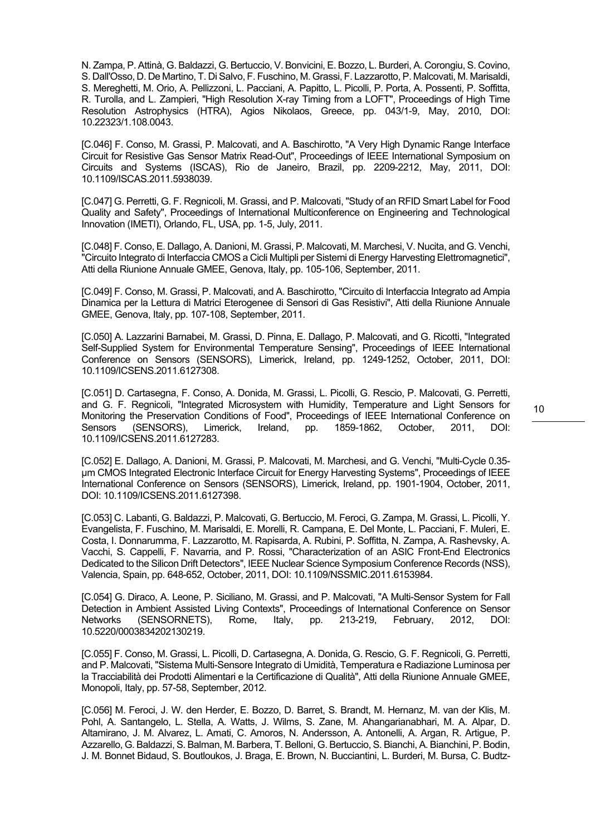N. Zampa, P. Attinà, G. Baldazzi, G. Bertuccio, V. Bonvicini, E. Bozzo, L. Burderi, A. Corongiu, S. Covino, S. Dall'Osso, D. De Martino, T. Di Salvo, F. Fuschino, M. Grassi, F. Lazzarotto, P. Malcovati, M. Marisaldi, S. Mereghetti, M. Orio, A. Pellizzoni, L. Pacciani, A. Papitto, L. Picolli, P. Porta, A. Possenti, P. Soffitta, R. Turolla, and L. Zampieri, "High Resolution X-ray Timing from a LOFT", Proceedings of High Time Resolution Astrophysics (HTRA), Agios Nikolaos, Greece, pp. 043/1-9, May, 2010, DOI: 10.22323/1.108.0043.

[C.046] F. Conso, M. Grassi, P. Malcovati, and A. Baschirotto, "A Very High Dynamic Range Interface Circuit for Resistive Gas Sensor Matrix Read-Out", Proceedings of IEEE International Symposium on Circuits and Systems (ISCAS), Rio de Janeiro, Brazil, pp. 2209-2212, May, 2011, DOI: 10.1109/ISCAS.2011.5938039.

[C.047] G. Perretti, G. F. Regnicoli, M. Grassi, and P. Malcovati, "Study of an RFID Smart Label for Food Quality and Safety", Proceedings of International Multiconference on Engineering and Technological Innovation (IMETI), Orlando, FL, USA, pp. 1-5, July, 2011.

[C.048] F. Conso, E. Dallago, A. Danioni, M. Grassi, P. Malcovati, M. Marchesi, V. Nucita, and G. Venchi, "Circuito Integrato di Interfaccia CMOS a Cicli Multipli per Sistemi di Energy Harvesting Elettromagnetici", Atti della Riunione Annuale GMEE, Genova, Italy, pp. 105-106, September, 2011.

[C.049] F. Conso, M. Grassi, P. Malcovati, and A. Baschirotto, "Circuito di Interfaccia Integrato ad Ampia Dinamica per la Lettura di Matrici Eterogenee di Sensori di Gas Resistivi", Atti della Riunione Annuale GMEE, Genova, Italy, pp. 107-108, September, 2011.

[C.050] A. Lazzarini Barnabei, M. Grassi, D. Pinna, E. Dallago, P. Malcovati, and G. Ricotti, "Integrated Self-Supplied System for Environmental Temperature Sensing", Proceedings of IEEE International Conference on Sensors (SENSORS), Limerick, Ireland, pp. 1249-1252, October, 2011, DOI: 10.1109/ICSENS.2011.6127308.

[C.051] D. Cartasegna, F. Conso, A. Donida, M. Grassi, L. Picolli, G. Rescio, P. Malcovati, G. Perretti, and G. F. Regnicoli, "Integrated Microsystem with Humidity, Temperature and Light Sensors for Monitoring the Preservation Conditions of Food", Proceedings of IEEE International Conference on Sensors (SENSORS), Limerick, Ireland, pp. 1859-1862, October, 2011, DOI: 10.1109/ICSENS.2011.6127283.

[C.052] E. Dallago, A. Danioni, M. Grassi, P. Malcovati, M. Marchesi, and G. Venchi, "Multi-Cycle 0.35µm CMOS Integrated Electronic Interface Circuit for Energy Harvesting Systems", Proceedings of IEEE International Conference on Sensors (SENSORS), Limerick, Ireland, pp. 1901-1904, October, 2011, DOI: 10.1109/ICSENS.2011.6127398.

[C.053] C. Labanti, G. Baldazzi, P. Malcovati, G. Bertuccio, M. Feroci, G. Zampa, M. Grassi, L. Picolli, Y. Evangelista, F. Fuschino, M. Marisaldi, E. Morelli, R. Campana, E. Del Monte, L. Pacciani, F. Muleri, E. Costa, I. Donnarumma, F. Lazzarotto, M. Rapisarda, A. Rubini, P. Soffitta, N. Zampa, A. Rashevsky, A. Vacchi, S. Cappelli, F. Navarria, and P. Rossi, "Characterization of an ASIC Front-End Electronics Dedicated to the Silicon Drift Detectors", IEEE Nuclear Science Symposium Conference Records (NSS), Valencia, Spain, pp. 648-652, October, 2011, DOI: 10.1109/NSSMIC.2011.6153984.

[C.054] G. Diraco, A. Leone, P. Siciliano, M. Grassi, and P. Malcovati, "A Multi-Sensor System for Fall Detection in Ambient Assisted Living Contexts", Proceedings of International Conference on Sensor Networks (SENSORNETS), Rome, Italy, pp. 213-219, February, 2012, DOI: 10.5220/0003834202130219.

[C.055] F. Conso, M. Grassi, L. Picolli, D. Cartasegna, A. Donida, G. Rescio, G. F. Regnicoli, G. Perretti, and P. Malcovati, "Sistema Multi-Sensore Integrato di Umidità, Temperatura e Radiazione Luminosa per la Tracciabilità dei Prodotti Alimentari e la Certificazione di Qualità", Atti della Riunione Annuale GMEE, Monopoli, Italy, pp. 57-58, September, 2012.

[C.056] M. Feroci, J. W. den Herder, E. Bozzo, D. Barret, S. Brandt, M. Hernanz, M. van der Klis, M. Pohl, A. Santangelo, L. Stella, A. Watts, J. Wilms, S. Zane, M. Ahangarianabhari, M. A. Alpar, D. Altamirano, J. M. Alvarez, L. Amati, C. Amoros, N. Andersson, A. Antonelli, A. Argan, R. Artigue, P. Azzarello, G. Baldazzi, S. Balman, M. Barbera, T. Belloni, G. Bertuccio, S. Bianchi, A. Bianchini, P. Bodin, J. M. Bonnet Bidaud, S. Boutloukos, J. Braga, E. Brown, N. Bucciantini, L. Burderi, M. Bursa, C. Budtz-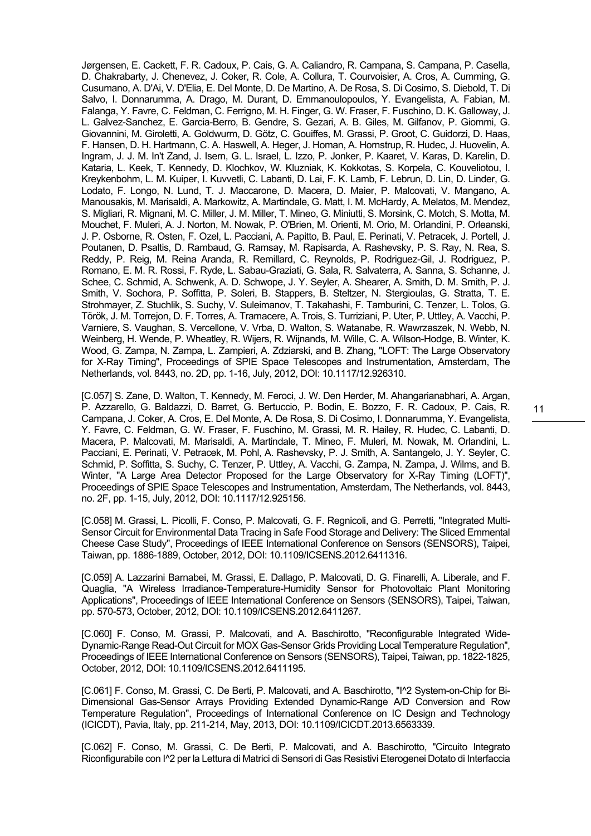Jørgensen, E. Cackett, F. R. Cadoux, P. Cais, G. A. Caliandro, R. Campana, S. Campana, P. Casella, D. Chakrabarty, J. Chenevez, J. Coker, R. Cole, A. Collura, T. Courvoisier, A. Cros, A. Cumming, G. Cusumano, A. D'Ai, V. D'Elia, E. Del Monte, D. De Martino, A. De Rosa, S. Di Cosimo, S. Diebold, T. Di Salvo, I. Donnarumma, A. Drago, M. Durant, D. Emmanoulopoulos, Y. Evangelista, A. Fabian, M. Falanga, Y. Favre, C. Feldman, C. Ferrigno, M. H. Finger, G. W. Fraser, F. Fuschino, D. K. Galloway, J. L. Galvez-Sanchez, E. Garcia-Berro, B. Gendre, S. Gezari, A. B. Giles, M. Gilfanov, P. Giommi, G. Giovannini, M. Giroletti, A. Goldwurm, D. Götz, C. Gouiffes, M. Grassi, P. Groot, C. Guidorzi, D. Haas, F. Hansen, D. H. Hartmann, C. A. Haswell, A. Heger, J. Homan, A. Hornstrup, R. Hudec, J. Huovelin, A. Ingram, J. J. M. In't Zand, J. Isern, G. L. Israel, L. Izzo, P. Jonker, P. Kaaret, V. Karas, D. Karelin, D. Kataria, L. Keek, T. Kennedy, D. Klochkov, W. Kluzniak, K. Kokkotas, S. Korpela, C. Kouveliotou, I. Kreykenbohm, L. M. Kuiper, I. Kuvvetli, C. Labanti, D. Lai, F. K. Lamb, F. Lebrun, D. Lin, D. Linder, G. Lodato, F. Longo, N. Lund, T. J. Maccarone, D. Macera, D. Maier, P. Malcovati, V. Mangano, A. Manousakis, M. Marisaldi, A. Markowitz, A. Martindale, G. Matt, I. M. McHardy, A. Melatos, M. Mendez, S. Migliari, R. Mignani, M. C. Miller, J. M. Miller, T. Mineo, G. Miniutti, S. Morsink, C. Motch, S. Motta, M. Mouchet, F. Muleri, A. J. Norton, M. Nowak, P. O'Brien, M. Orienti, M. Orio, M. Orlandini, P. Orleanski, J. P. Osborne, R. Osten, F. Ozel, L. Pacciani, A. Papitto, B. Paul, E. Perinati, V. Petracek, J. Portell, J. Poutanen, D. Psaltis, D. Rambaud, G. Ramsay, M. Rapisarda, A. Rashevsky, P. S. Ray, N. Rea, S. Reddy, P. Reig, M. Reina Aranda, R. Remillard, C. Reynolds, P. Rodriguez-Gil, J. Rodriguez, P. Romano, E. M. R. Rossi, F. Ryde, L. Sabau-Graziati, G. Sala, R. Salvaterra, A. Sanna, S. Schanne, J. Schee, C. Schmid, A. Schwenk, A. D. Schwope, J. Y. Seyler, A. Shearer, A. Smith, D. M. Smith, P. J. Smith, V. Sochora, P. Soffitta, P. Soleri, B. Stappers, B. Steltzer, N. Stergioulas, G. Stratta, T. E. Strohmayer, Z. Stuchlik, S. Suchy, V. Suleimanov, T. Takahashi, F. Tamburini, C. Tenzer, L. Tolos, G. Török, J. M. Torrejon, D. F. Torres, A. Tramacere, A. Trois, S. Turriziani, P. Uter, P. Uttley, A. Vacchi, P. Varniere, S. Vaughan, S. Vercellone, V. Vrba, D. Walton, S. Watanabe, R. Wawrzaszek, N. Webb, N. Weinberg, H. Wende, P. Wheatley, R. Wijers, R. Wijnands, M. Wille, C. A. Wilson-Hodge, B. Winter, K. Wood, G. Zampa, N. Zampa, L. Zampieri, A. Zdziarski, and B. Zhang, "LOFT: The Large Observatory for X-Ray Timing", Proceedings of SPIE Space Telescopes and Instrumentation, Amsterdam, The Netherlands, vol. 8443, no. 2D, pp. 1-16, July, 2012, DOI: 10.1117/12.926310.

[C.057] S. Zane, D. Walton, T. Kennedy, M. Feroci, J. W. Den Herder, M. Ahangarianabhari, A. Argan, P. Azzarello, G. Baldazzi, D. Barret, G. Bertuccio, P. Bodin, E. Bozzo, F. R. Cadoux, P. Cais, R. Campana, J. Coker, A. Cros, E. Del Monte, A. De Rosa, S. Di Cosimo, I. Donnarumma, Y. Evangelista, Y. Favre, C. Feldman, G. W. Fraser, F. Fuschino, M. Grassi, M. R. Hailey, R. Hudec, C. Labanti, D. Macera, P. Malcovati, M. Marisaldi, A. Martindale, T. Mineo, F. Muleri, M. Nowak, M. Orlandini, L. Pacciani, E. Perinati, V. Petracek, M. Pohl, A. Rashevsky, P. J. Smith, A. Santangelo, J. Y. Seyler, C. Schmid, P. Soffitta, S. Suchy, C. Tenzer, P. Uttley, A. Vacchi, G. Zampa, N. Zampa, J. Wilms, and B. Winter, "A Large Area Detector Proposed for the Large Observatory for X-Ray Timing (LOFT)", Proceedings of SPIE Space Telescopes and Instrumentation, Amsterdam, The Netherlands, vol. 8443, no. 2F, pp. 1-15, July, 2012, DOI: 10.1117/12.925156.

[C.058] M. Grassi, L. Picolli, F. Conso, P. Malcovati, G. F. Regnicoli, and G. Perretti, "Integrated Multi-Sensor Circuit for Environmental Data Tracing in Safe Food Storage and Delivery: The Sliced Emmental Cheese Case Study", Proceedings of IEEE International Conference on Sensors (SENSORS), Taipei, Taiwan, pp. 1886-1889, October, 2012, DOI: 10.1109/ICSENS.2012.6411316.

[C.059] A. Lazzarini Barnabei, M. Grassi, E. Dallago, P. Malcovati, D. G. Finarelli, A. Liberale, and F. Quaglia, "A Wireless Irradiance-Temperature-Humidity Sensor for Photovoltaic Plant Monitoring Applications", Proceedings of IEEE International Conference on Sensors (SENSORS), Taipei, Taiwan, pp. 570-573, October, 2012, DOI: 10.1109/ICSENS.2012.6411267.

[C.060] F. Conso, M. Grassi, P. Malcovati, and A. Baschirotto, "Reconfigurable Integrated Wide-Dynamic-Range Read-Out Circuit for MOX Gas-Sensor Grids Providing Local Temperature Regulation", Proceedings of IEEE International Conference on Sensors (SENSORS), Taipei, Taiwan, pp. 1822-1825, October, 2012, DOI: 10.1109/ICSENS.2012.6411195.

[C.061] F. Conso, M. Grassi, C. De Berti, P. Malcovati, and A. Baschirotto, "I^2 System-on-Chip for Bi-Dimensional Gas-Sensor Arrays Providing Extended Dynamic-Range A/D Conversion and Row Temperature Regulation", Proceedings of International Conference on IC Design and Technology (ICICDT), Pavia, Italy, pp. 211-214, May, 2013, DOI: 10.1109/ICICDT.2013.6563339.

[C.062] F. Conso, M. Grassi, C. De Berti, P. Malcovati, and A. Baschirotto, "Circuito Integrato Riconfigurabile con I^2 per la Lettura di Matrici di Sensori di Gas Resistivi Eterogenei Dotato di Interfaccia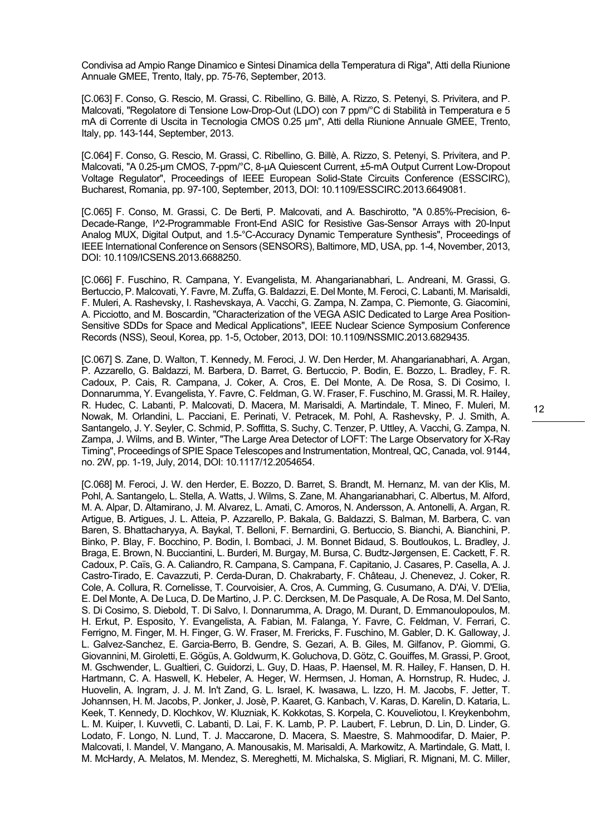Condivisa ad Ampio Range Dinamico e Sintesi Dinamica della Temperatura di Riga", Atti della Riunione Annuale GMEE, Trento, Italy, pp. 75-76, September, 2013.

[C.063] F. Conso, G. Rescio, M. Grassi, C. Ribellino, G. Billè, A. Rizzo, S. Petenyi, S. Privitera, and P. Malcovati, "Regolatore di Tensione Low-Drop-Out (LDO) con 7 ppm/°C di Stabilità in Temperatura e 5 mA di Corrente di Uscita in Tecnologia CMOS 0.25 µm", Atti della Riunione Annuale GMEE, Trento, Italy, pp. 143-144, September, 2013.

[C.064] F. Conso, G. Rescio, M. Grassi, C. Ribellino, G. Billè, A. Rizzo, S. Petenyi, S. Privitera, and P. Malcovati, "A 0.25-µm CMOS, 7-ppm/°C, 8-µA Quiescent Current, ±5-mA Output Current Low-Dropout Voltage Regulator", Proceedings of IEEE European Solid-State Circuits Conference (ESSCIRC), Bucharest, Romania, pp. 97-100, September, 2013, DOI: 10.1109/ESSCIRC.2013.6649081.

[C.065] F. Conso, M. Grassi, C. De Berti, P. Malcovati, and A. Baschirotto, "A 0.85%-Precision, 6- Decade-Range, I^2-Programmable Front-End ASIC for Resistive Gas-Sensor Arrays with 20-Input Analog MUX, Digital Output, and 1.5-°C-Accuracy Dynamic Temperature Synthesis", Proceedings of IEEE International Conference on Sensors (SENSORS), Baltimore, MD, USA, pp. 1-4, November, 2013, DOI: 10.1109/ICSENS.2013.6688250.

[C.066] F. Fuschino, R. Campana, Y. Evangelista, M. Ahangarianabhari, L. Andreani, M. Grassi, G. Bertuccio, P. Malcovati, Y. Favre, M. Zuffa, G. Baldazzi, E. Del Monte, M. Feroci, C. Labanti, M. Marisaldi, F. Muleri, A. Rashevsky, I. Rashevskaya, A. Vacchi, G. Zampa, N. Zampa, C. Piemonte, G. Giacomini, A. Picciotto, and M. Boscardin, "Characterization of the VEGA ASIC Dedicated to Large Area Position-Sensitive SDDs for Space and Medical Applications", IEEE Nuclear Science Symposium Conference Records (NSS), Seoul, Korea, pp. 1-5, October, 2013, DOI: 10.1109/NSSMIC.2013.6829435.

[C.067] S. Zane, D. Walton, T. Kennedy, M. Feroci, J. W. Den Herder, M. Ahangarianabhari, A. Argan, P. Azzarello, G. Baldazzi, M. Barbera, D. Barret, G. Bertuccio, P. Bodin, E. Bozzo, L. Bradley, F. R. Cadoux, P. Cais, R. Campana, J. Coker, A. Cros, E. Del Monte, A. De Rosa, S. Di Cosimo, I. Donnarumma, Y. Evangelista, Y. Favre, C. Feldman, G. W. Fraser, F. Fuschino, M. Grassi, M. R. Hailey, R. Hudec, C. Labanti, P. Malcovati, D. Macera, M. Marisaldi, A. Martindale, T. Mineo, F. Muleri, M. Nowak, M. Orlandini, L. Pacciani, E. Perinati, V. Petracek, M. Pohl, A. Rashevsky, P. J. Smith, A. Santangelo, J. Y. Seyler, C. Schmid, P. Soffitta, S. Suchy, C. Tenzer, P. Uttley, A. Vacchi, G. Zampa, N. Zampa, J. Wilms, and B. Winter, "The Large Area Detector of LOFT: The Large Observatory for X-Ray Timing", Proceedings of SPIE Space Telescopes and Instrumentation, Montreal, QC, Canada, vol. 9144, no. 2W, pp. 1-19, July, 2014, DOI: 10.1117/12.2054654.

[C.068] M. Feroci, J. W. den Herder, E. Bozzo, D. Barret, S. Brandt, M. Hernanz, M. van der Klis, M. Pohl, A. Santangelo, L. Stella, A. Watts, J. Wilms, S. Zane, M. Ahangarianabhari, C. Albertus, M. Alford, M. A. Alpar, D. Altamirano, J. M. Alvarez, L. Amati, C. Amoros, N. Andersson, A. Antonelli, A. Argan, R. Artigue, B. Artigues, J. L. Atteia, P. Azzarello, P. Bakala, G. Baldazzi, S. Balman, M. Barbera, C. van Baren, S. Bhattacharyya, A. Baykal, T. Belloni, F. Bernardini, G. Bertuccio, S. Bianchi, A. Bianchini, P. Binko, P. Blay, F. Bocchino, P. Bodin, I. Bombaci, J. M. Bonnet Bidaud, S. Boutloukos, L. Bradley, J. Braga, E. Brown, N. Bucciantini, L. Burderi, M. Burgay, M. Bursa, C. Budtz-Jørgensen, E. Cackett, F. R. Cadoux, P. Caïs, G. A. Caliandro, R. Campana, S. Campana, F. Capitanio, J. Casares, P. Casella, A. J. Castro-Tirado, E. Cavazzuti, P. Cerda-Duran, D. Chakrabarty, F. Château, J. Chenevez, J. Coker, R. Cole, A. Collura, R. Cornelisse, T. Courvoisier, A. Cros, A. Cumming, G. Cusumano, A. D'Ai, V. D'Elia, E. Del Monte, A. De Luca, D. De Martino, J. P. C. Dercksen, M. De Pasquale, A. De Rosa, M. Del Santo, S. Di Cosimo, S. Diebold, T. Di Salvo, I. Donnarumma, A. Drago, M. Durant, D. Emmanoulopoulos, M. H. Erkut, P. Esposito, Y. Evangelista, A. Fabian, M. Falanga, Y. Favre, C. Feldman, V. Ferrari, C. Ferrigno, M. Finger, M. H. Finger, G. W. Fraser, M. Frericks, F. Fuschino, M. Gabler, D. K. Galloway, J. L. Galvez-Sanchez, E. Garcia-Berro, B. Gendre, S. Gezari, A. B. Giles, M. Gilfanov, P. Giommi, G. Giovannini, M. Giroletti, E. Gögüs, A. Goldwurm, K. Goluchova, D. Götz, C. Gouiffes, M. Grassi, P. Groot, M. Gschwender, L. Gualtieri, C. Guidorzi, L. Guy, D. Haas, P. Haensel, M. R. Hailey, F. Hansen, D. H. Hartmann, C. A. Haswell, K. Hebeler, A. Heger, W. Hermsen, J. Homan, A. Hornstrup, R. Hudec, J. Huovelin, A. Ingram, J. J. M. In't Zand, G. L. Israel, K. Iwasawa, L. Izzo, H. M. Jacobs, F. Jetter, T. Johannsen, H. M. Jacobs, P. Jonker, J. Josè, P. Kaaret, G. Kanbach, V. Karas, D. Karelin, D. Kataria, L. Keek, T. Kennedy, D. Klochkov, W. Kluzniak, K. Kokkotas, S. Korpela, C. Kouveliotou, I. Kreykenbohm, L. M. Kuiper, I. Kuvvetli, C. Labanti, D. Lai, F. K. Lamb, P. P. Laubert, F. Lebrun, D. Lin, D. Linder, G. Lodato, F. Longo, N. Lund, T. J. Maccarone, D. Macera, S. Maestre, S. Mahmoodifar, D. Maier, P. Malcovati, I. Mandel, V. Mangano, A. Manousakis, M. Marisaldi, A. Markowitz, A. Martindale, G. Matt, I. M. McHardy, A. Melatos, M. Mendez, S. Mereghetti, M. Michalska, S. Migliari, R. Mignani, M. C. Miller,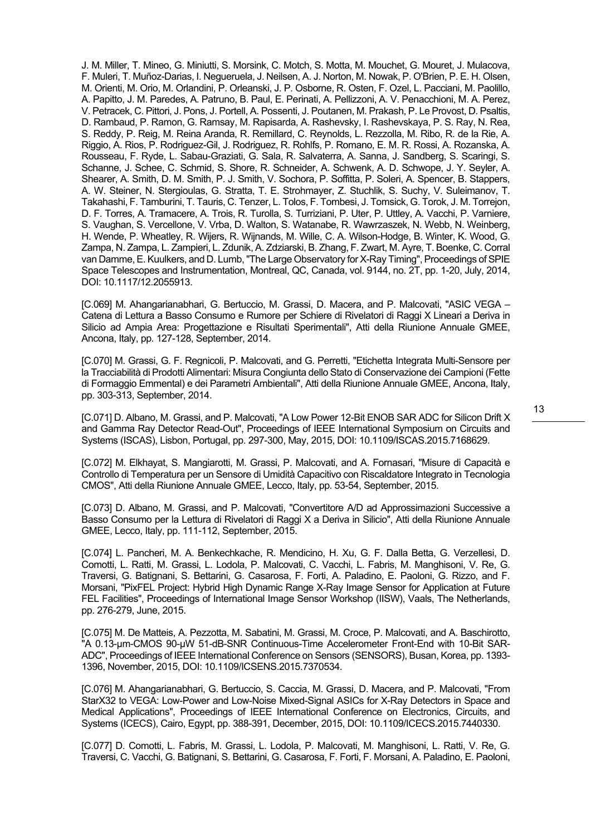J. M. Miller, T. Mineo, G. Miniutti, S. Morsink, C. Motch, S. Motta, M. Mouchet, G. Mouret, J. Mulacova, F. Muleri, T. Muñoz-Darias, I. Negueruela, J. Neilsen, A. J. Norton, M. Nowak, P. O'Brien, P. E. H. Olsen, M. Orienti, M. Orio, M. Orlandini, P. Orleanski, J. P. Osborne, R. Osten, F. Ozel, L. Pacciani, M. Paolillo, A. Papitto, J. M. Paredes, A. Patruno, B. Paul, E. Perinati, A. Pellizzoni, A. V. Penacchioni, M. A. Perez, V. Petracek, C. Pittori, J. Pons, J. Portell, A. Possenti, J. Poutanen, M. Prakash, P. Le Provost, D. Psaltis, D. Rambaud, P. Ramon, G. Ramsay, M. Rapisarda, A. Rashevsky, I. Rashevskaya, P. S. Ray, N. Rea, S. Reddy, P. Reig, M. Reina Aranda, R. Remillard, C. Reynolds, L. Rezzolla, M. Ribo, R. de la Rie, A. Riggio, A. Rios, P. Rodriguez-Gil, J. Rodriguez, R. Rohlfs, P. Romano, E. M. R. Rossi, A. Rozanska, A. Rousseau, F. Ryde, L. Sabau-Graziati, G. Sala, R. Salvaterra, A. Sanna, J. Sandberg, S. Scaringi, S. Schanne, J. Schee, C. Schmid, S. Shore, R. Schneider, A. Schwenk, A. D. Schwope, J. Y. Seyler, A. Shearer, A. Smith, D. M. Smith, P. J. Smith, V. Sochora, P. Soffitta, P. Soleri, A. Spencer, B. Stappers, A. W. Steiner, N. Stergioulas, G. Stratta, T. E. Strohmayer, Z. Stuchlik, S. Suchy, V. Suleimanov, T. Takahashi, F. Tamburini, T. Tauris, C. Tenzer, L. Tolos, F. Tombesi, J. Tomsick, G. Torok, J. M. Torrejon, D. F. Torres, A. Tramacere, A. Trois, R. Turolla, S. Turriziani, P. Uter, P. Uttley, A. Vacchi, P. Varniere, S. Vaughan, S. Vercellone, V. Vrba, D. Walton, S. Watanabe, R. Wawrzaszek, N. Webb, N. Weinberg, H. Wende, P. Wheatley, R. Wijers, R. Wijnands, M. Wille, C. A. Wilson-Hodge, B. Winter, K. Wood, G. Zampa, N. Zampa, L. Zampieri, L. Zdunik, A. Zdziarski, B. Zhang, F. Zwart, M. Ayre, T. Boenke, C. Corral van Damme, E. Kuulkers, and D. Lumb, "The Large Observatory for X-Ray Timing", Proceedings of SPIE Space Telescopes and Instrumentation, Montreal, QC, Canada, vol. 9144, no. 2T, pp. 1-20, July, 2014, DOI: 10.1117/12.2055913.

[C.069] M. Ahangarianabhari, G. Bertuccio, M. Grassi, D. Macera, and P. Malcovati, "ASIC VEGA – Catena di Lettura a Basso Consumo e Rumore per Schiere di Rivelatori di Raggi X Lineari a Deriva in Silicio ad Ampia Area: Progettazione e Risultati Sperimentali", Atti della Riunione Annuale GMEE, Ancona, Italy, pp. 127-128, September, 2014.

[C.070] M. Grassi, G. F. Regnicoli, P. Malcovati, and G. Perretti, "Etichetta Integrata Multi-Sensore per la Tracciabilità di Prodotti Alimentari: Misura Congiunta dello Stato di Conservazione dei Campioni (Fette di Formaggio Emmental) e dei Parametri Ambientali", Atti della Riunione Annuale GMEE, Ancona, Italy, pp. 303-313, September, 2014.

[C.071] D. Albano, M. Grassi, and P. Malcovati, "A Low Power 12-Bit ENOB SAR ADC for Silicon Drift X and Gamma Ray Detector Read-Out", Proceedings of IEEE International Symposium on Circuits and Systems (ISCAS), Lisbon, Portugal, pp. 297-300, May, 2015, DOI: 10.1109/ISCAS.2015.7168629.

[C.072] M. Elkhayat, S. Mangiarotti, M. Grassi, P. Malcovati, and A. Fornasari, "Misure di Capacità e Controllo di Temperatura per un Sensore di Umidità Capacitivo con Riscaldatore Integrato in Tecnologia CMOS", Atti della Riunione Annuale GMEE, Lecco, Italy, pp. 53-54, September, 2015.

[C.073] D. Albano, M. Grassi, and P. Malcovati, "Convertitore A/D ad Approssimazioni Successive a Basso Consumo per la Lettura di Rivelatori di Raggi X a Deriva in Silicio", Atti della Riunione Annuale GMEE, Lecco, Italy, pp. 111-112, September, 2015.

[C.074] L. Pancheri, M. A. Benkechkache, R. Mendicino, H. Xu, G. F. Dalla Betta, G. Verzellesi, D. Comotti, L. Ratti, M. Grassi, L. Lodola, P. Malcovati, C. Vacchi, L. Fabris, M. Manghisoni, V. Re, G. Traversi, G. Batignani, S. Bettarini, G. Casarosa, F. Forti, A. Paladino, E. Paoloni, G. Rizzo, and F. Morsani, "PixFEL Project: Hybrid High Dynamic Range X-Ray Image Sensor for Application at Future FEL Facilities", Proceedings of International Image Sensor Workshop (IISW), Vaals, The Netherlands, pp. 276-279, June, 2015.

[C.075] M. De Matteis, A. Pezzotta, M. Sabatini, M. Grassi, M. Croce, P. Malcovati, and A. Baschirotto, "A 0.13-µm-CMOS 90-µW 51-dB-SNR Continuous-Time Accelerometer Front-End with 10-Bit SAR-ADC", Proceedings of IEEE International Conference on Sensors (SENSORS), Busan, Korea, pp. 1393- 1396, November, 2015, DOI: 10.1109/ICSENS.2015.7370534.

[C.076] M. Ahangarianabhari, G. Bertuccio, S. Caccia, M. Grassi, D. Macera, and P. Malcovati, "From StarX32 to VEGA: Low-Power and Low-Noise Mixed-Signal ASICs for X-Ray Detectors in Space and Medical Applications", Proceedings of IEEE International Conference on Electronics, Circuits, and Systems (ICECS), Cairo, Egypt, pp. 388-391, December, 2015, DOI: 10.1109/ICECS.2015.7440330.

[C.077] D. Comotti, L. Fabris, M. Grassi, L. Lodola, P. Malcovati, M. Manghisoni, L. Ratti, V. Re, G. Traversi, C. Vacchi, G. Batignani, S. Bettarini, G. Casarosa, F. Forti, F. Morsani, A. Paladino, E. Paoloni,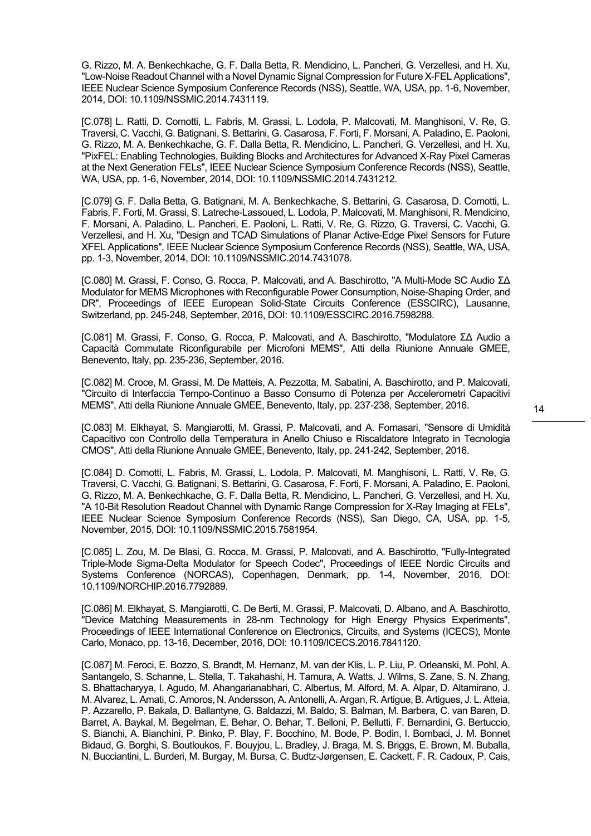G. Rizzo, M. A. Benkechkache, G. F. Dalla Betta, R. Mendicino, L. Pancheri, G. Verzellesi, and H. Xu, "Low-Noise Readout Channel with a Novel Dynamic Signal Compression for Future X-FEL Applications", IEEE Nuclear Science Symposium Conference Records (NSS), Seattle, WA, USA, pp. 1-6, November, 2014, DOI: 10.1109/NSSMIC.2014.7431119.

[C.078] L. Ratti, D. Comotti, L. Fabris, M. Grassi, L. Lodola, P. Malcovati, M. Manghisoni, V. Re, G. Traversi, C. Vacchi, G. Batignani, S. Bettarini, G. Casarosa, F. Forti, F. Morsani, A. Paladino, E. Paoloni, G. Rizzo, M. A. Benkechkache, G. F. Dalla Betta, R. Mendicino, L. Pancheri, G. Verzellesi, and H. Xu, "PixFEL: Enabling Technologies, Building Blocks and Architectures for Advanced X-Ray Pixel Cameras at the Next Generation FELs", IEEE Nuclear Science Symposium Conference Records (NSS), Seattle, WA, USA, pp. 1-6, November, 2014, DOI: 10.1109/NSSMIC.2014.7431212.

[C.079] G. F. Dalla Betta, G. Batignani, M. A. Benkechkache, S. Bettarini, G. Casarosa, D. Comotti, L. Fabris, F. Forti, M. Grassi, S. Latreche-Lassoued, L. Lodola, P. Malcovati, M. Manghisoni, R. Mendicino, F. Morsani, A. Paladino, L. Pancheri, E. Paoloni, L. Ratti, V. Re, G. Rizzo, G. Traversi, C. Vacchi, G. Verzellesi, and H. Xu, "Design and TCAD Simulations of Planar Active-Edge Pixel Sensors for Future XFEL Applications", IEEE Nuclear Science Symposium Conference Records (NSS), Seattle, WA, USA, pp. 1-3, November, 2014, DOI: 10.1109/NSSMIC.2014.7431078.

[C.080] M. Grassi, F. Conso, G. Rocca, P. Malcovati, and A. Baschirotto, "A Multi-Mode SC Audio ΣΔ Modulator for MEMS Microphones with Reconfigurable Power Consumption, Noise-Shaping Order, and DR", Proceedings of IEEE European Solid-State Circuits Conference (ESSCIRC), Lausanne, Switzerland, pp. 245-248, September, 2016, DOI: 10.1109/ESSCIRC.2016.7598288.

[C.081] M. Grassi, F. Conso, G. Rocca, P. Malcovati, and A. Baschirotto, "Modulatore ΣΔ Audio a Capacità Commutate Riconfigurabile per Microfoni MEMS", Atti della Riunione Annuale GMEE, Benevento, Italy, pp. 235-236, September, 2016.

[C.082] M. Croce, M. Grassi, M. De Matteis, A. Pezzotta, M. Sabatini, A. Baschirotto, and P. Malcovati, "Circuito di Interfaccia Tempo-Continuo a Basso Consumo di Potenza per Accelerometri Capacitivi MEMS", Atti della Riunione Annuale GMEE, Benevento, Italy, pp. 237-238, September, 2016.

[C.083] M. Elkhayat, S. Mangiarotti, M. Grassi, P. Malcovati, and A. Fornasari, "Sensore di Umidità Capacitivo con Controllo della Temperatura in Anello Chiuso e Riscaldatore Integrato in Tecnologia CMOS", Atti della Riunione Annuale GMEE, Benevento, Italy, pp. 241-242, September, 2016.

[C.084] D. Comotti, L. Fabris, M. Grassi, L. Lodola, P. Malcovati, M. Manghisoni, L. Ratti, V. Re, G. Traversi, C. Vacchi, G. Batignani, S. Bettarini, G. Casarosa, F. Forti, F. Morsani, A. Paladino, E. Paoloni, G. Rizzo, M. A. Benkechkache, G. F. Dalla Betta, R. Mendicino, L. Pancheri, G. Verzellesi, and H. Xu, "A 10-Bit Resolution Readout Channel with Dynamic Range Compression for X-Ray Imaging at FELs", IEEE Nuclear Science Symposium Conference Records (NSS), San Diego, CA, USA, pp. 1-5, November, 2015, DOI: 10.1109/NSSMIC.2015.7581954.

[C.085] L. Zou, M. De Blasi, G. Rocca, M. Grassi, P. Malcovati, and A. Baschirotto, "Fully-Integrated Triple-Mode Sigma-Delta Modulator for Speech Codec", Proceedings of IEEE Nordic Circuits and Systems Conference (NORCAS), Copenhagen, Denmark, pp. 1-4, November, 2016, DOI: 10.1109/NORCHIP.2016.7792889.

[C.086] M. Elkhayat, S. Mangiarotti, C. De Berti, M. Grassi, P. Malcovati, D. Albano, and A. Baschirotto, "Device Matching Measurements in 28-nm Technology for High Energy Physics Experiments", Proceedings of IEEE International Conference on Electronics, Circuits, and Systems (ICECS), Monte Carlo, Monaco, pp. 13-16, December, 2016, DOI: 10.1109/ICECS.2016.7841120.

[C.087] M. Feroci, E. Bozzo, S. Brandt, M. Hernanz, M. van der Klis, L. P. Liu, P. Orleanski, M. Pohl, A. Santangelo, S. Schanne, L. Stella, T. Takahashi, H. Tamura, A. Watts, J. Wilms, S. Zane, S. N. Zhang, S. Bhattacharyya, I. Agudo, M. Ahangarianabhari, C. Albertus, M. Alford, M. A. Alpar, D. Altamirano, J. M. Alvarez, L. Amati, C. Amoros, N. Andersson, A. Antonelli, A. Argan, R. Artigue, B. Artigues, J. L. Atteia, P. Azzarello, P. Bakala, D. Ballantyne, G. Baldazzi, M. Baldo, S. Balman, M. Barbera, C. van Baren, D. Barret, A. Baykal, M. Begelman, E. Behar, O. Behar, T. Belloni, P. Bellutti, F. Bernardini, G. Bertuccio, S. Bianchi, A. Bianchini, P. Binko, P. Blay, F. Bocchino, M. Bode, P. Bodin, I. Bombaci, J. M. Bonnet Bidaud, G. Borghi, S. Boutloukos, F. Bouyjou, L. Bradley, J. Braga, M. S. Briggs, E. Brown, M. Buballa, N. Bucciantini, L. Burderi, M. Burgay, M. Bursa, C. Budtz-Jørgensen, E. Cackett, F. R. Cadoux, P. Cais,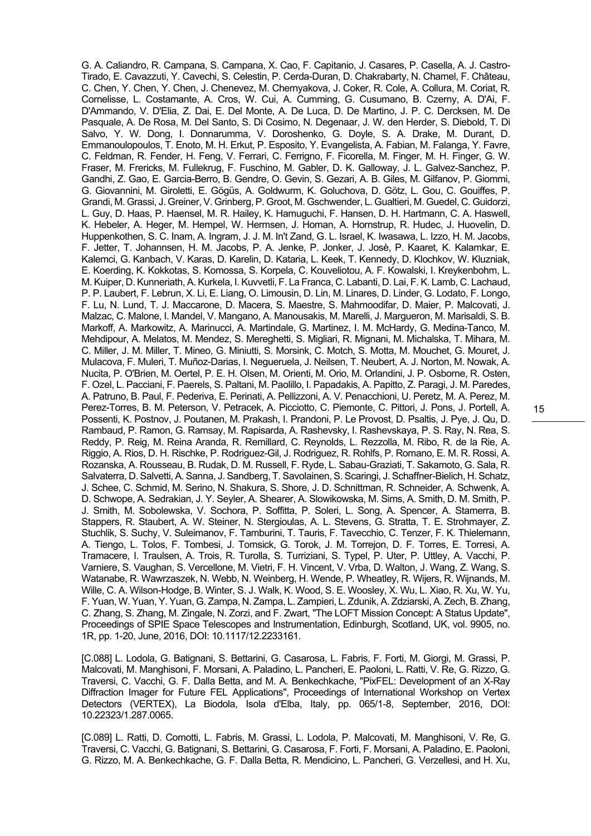G. A. Caliandro, R. Campana, S. Campana, X. Cao, F. Capitanio, J. Casares, P. Casella, A. J. Castro-Tirado, E. Cavazzuti, Y. Cavechi, S. Celestin, P. Cerda-Duran, D. Chakrabarty, N. Chamel, F. Château, C. Chen, Y. Chen, Y. Chen, J. Chenevez, M. Chernyakova, J. Coker, R. Cole, A. Collura, M. Coriat, R. Cornelisse, L. Costamante, A. Cros, W. Cui, A. Cumming, G. Cusumano, B. Czerny, A. D'Ai, F. D'Ammando, V. D'Elia, Z. Dai, E. Del Monte, A. De Luca, D. De Martino, J. P. C. Dercksen, M. De Pasquale, A. De Rosa, M. Del Santo, S. Di Cosimo, N. Degenaar, J. W. den Herder, S. Diebold, T. Di Salvo, Y. W. Dong, I. Donnarumma, V. Doroshenko, G. Doyle, S. A. Drake, M. Durant, D. Emmanoulopoulos, T. Enoto, M. H. Erkut, P. Esposito, Y. Evangelista, A. Fabian, M. Falanga, Y. Favre, C. Feldman, R. Fender, H. Feng, V. Ferrari, C. Ferrigno, F. Ficorella, M. Finger, M. H. Finger, G. W. Fraser, M. Frericks, M. Fullekrug, F. Fuschino, M. Gabler, D. K. Galloway, J. L. Galvez-Sanchez, P. Gandhi, Z. Gao, E. Garcia-Berro, B. Gendre, O. Gevin, S. Gezari, A. B. Giles, M. Gilfanov, P. Giommi, G. Giovannini, M. Giroletti, E. Gögüs, A. Goldwurm, K. Goluchova, D. Götz, L. Gou, C. Gouiffes, P. Grandi, M. Grassi, J. Greiner, V. Grinberg, P. Groot, M. Gschwender, L. Gualtieri, M. Guedel, C. Guidorzi, L. Guy, D. Haas, P. Haensel, M. R. Hailey, K. Hamuguchi, F. Hansen, D. H. Hartmann, C. A. Haswell, K. Hebeler, A. Heger, M. Hempel, W. Hermsen, J. Homan, A. Hornstrup, R. Hudec, J. Huovelin, D. Huppenkothen, S. C. Inam, A. Ingram, J. J. M. In't Zand, G. L. Israel, K. Iwasawa, L. Izzo, H. M. Jacobs, F. Jetter, T. Johannsen, H. M. Jacobs, P. A. Jenke, P. Jonker, J. Josè, P. Kaaret, K. Kalamkar, E. Kalemci, G. Kanbach, V. Karas, D. Karelin, D. Kataria, L. Keek, T. Kennedy, D. Klochkov, W. Kluzniak, E. Koerding, K. Kokkotas, S. Komossa, S. Korpela, C. Kouveliotou, A. F. Kowalski, I. Kreykenbohm, L. M. Kuiper, D. Kunneriath, A. Kurkela, I. Kuvvetli, F. La Franca, C. Labanti, D. Lai, F. K. Lamb, C. Lachaud, P. P. Laubert, F. Lebrun, X. Li, E. Liang, O. Limousin, D. Lin, M. Linares, D. Linder, G. Lodato, F. Longo, F. Lu, N. Lund, T. J. Maccarone, D. Macera, S. Maestre, S. Mahmoodifar, D. Maier, P. Malcovati, J. Malzac, C. Malone, I. Mandel, V. Mangano, A. Manousakis, M. Marelli, J. Margueron, M. Marisaldi, S. B. Markoff, A. Markowitz, A. Marinucci, A. Martindale, G. Martinez, I. M. McHardy, G. Medina-Tanco, M. Mehdipour, A. Melatos, M. Mendez, S. Mereghetti, S. Migliari, R. Mignani, M. Michalska, T. Mihara, M. C. Miller, J. M. Miller, T. Mineo, G. Miniutti, S. Morsink, C. Motch, S. Motta, M. Mouchet, G. Mouret, J. Mulacova, F. Muleri, T. Muñoz-Darias, I. Negueruela, J. Neilsen, T. Neubert, A. J. Norton, M. Nowak, A. Nucita, P. O'Brien, M. Oertel, P. E. H. Olsen, M. Orienti, M. Orio, M. Orlandini, J. P. Osborne, R. Osten, F. Ozel, L. Pacciani, F. Paerels, S. Paltani, M. Paolillo, I. Papadakis, A. Papitto, Z. Paragi, J. M. Paredes, A. Patruno, B. Paul, F. Pederiva, E. Perinati, A. Pellizzoni, A. V. Penacchioni, U. Peretz, M. A. Perez, M. Perez-Torres, B. M. Peterson, V. Petracek, A. Picciotto, C. Piemonte, C. Pittori, J. Pons, J. Portell, A. Possenti, K. Postnov, J. Poutanen, M. Prakash, I. Prandoni, P. Le Provost, D. Psaltis, J. Pye, J. Qu, D. Rambaud, P. Ramon, G. Ramsay, M. Rapisarda, A. Rashevsky, I. Rashevskaya, P. S. Ray, N. Rea, S. Reddy, P. Reig, M. Reina Aranda, R. Remillard, C. Reynolds, L. Rezzolla, M. Ribo, R. de la Rie, A. Riggio, A. Rios, D. H. Rischke, P. Rodriguez-Gil, J. Rodriguez, R. Rohlfs, P. Romano, E. M. R. Rossi, A. Rozanska, A. Rousseau, B. Rudak, D. M. Russell, F. Ryde, L. Sabau-Graziati, T. Sakamoto, G. Sala, R. Salvaterra, D. Salvetti, A. Sanna, J. Sandberg, T. Savolainen, S. Scaringi, J. Schaffner-Bielich, H. Schatz, J. Schee, C. Schmid, M. Serino, N. Shakura, S. Shore, J. D. Schnittman, R. Schneider, A. Schwenk, A. D. Schwope, A. Sedrakian, J. Y. Seyler, A. Shearer, A. Slowikowska, M. Sims, A. Smith, D. M. Smith, P. J. Smith, M. Sobolewska, V. Sochora, P. Soffitta, P. Soleri, L. Song, A. Spencer, A. Stamerra, B. Stappers, R. Staubert, A. W. Steiner, N. Stergioulas, A. L. Stevens, G. Stratta, T. E. Strohmayer, Z. Stuchlik, S. Suchy, V. Suleimanov, F. Tamburini, T. Tauris, F. Tavecchio, C. Tenzer, F. K. Thielemann, A. Tiengo, L. Tolos, F. Tombesi, J. Tomsick, G. Torok, J. M. Torrejon, D. F. Torres, E. Torresi, A. Tramacere, I. Traulsen, A. Trois, R. Turolla, S. Turriziani, S. Typel, P. Uter, P. Uttley, A. Vacchi, P. Varniere, S. Vaughan, S. Vercellone, M. Vietri, F. H. Vincent, V. Vrba, D. Walton, J. Wang, Z. Wang, S. Watanabe, R. Wawrzaszek, N. Webb, N. Weinberg, H. Wende, P. Wheatley, R. Wijers, R. Wijnands, M. Wille, C. A. Wilson-Hodge, B. Winter, S. J. Walk, K. Wood, S. E. Woosley, X. Wu, L. Xiao, R. Xu, W. Yu, F. Yuan, W. Yuan, Y. Yuan, G. Zampa, N. Zampa, L. Zampieri, L. Zdunik, A. Zdziarski, A. Zech, B. Zhang, C. Zhang, S. Zhang, M. Zingale, N. Zorzi, and F. Zwart, "The LOFT Mission Concept: A Status Update", Proceedings of SPIE Space Telescopes and Instrumentation, Edinburgh, Scotland, UK, vol. 9905, no. 1R, pp. 1-20, June, 2016, DOI: 10.1117/12.2233161.

[C.088] L. Lodola, G. Batignani, S. Bettarini, G. Casarosa, L. Fabris, F. Forti, M. Giorgi, M. Grassi, P. Malcovati, M. Manghisoni, F. Morsani, A. Paladino, L. Pancheri, E. Paoloni, L. Ratti, V. Re, G. Rizzo, G. Traversi, C. Vacchi, G. F. Dalla Betta, and M. A. Benkechkache, "PixFEL: Development of an X-Ray Diffraction Imager for Future FEL Applications", Proceedings of International Workshop on Vertex Detectors (VERTEX), La Biodola, Isola d'Elba, Italy, pp. 065/1-8, September, 2016, DOI: 10.22323/1.287.0065.

[C.089] L. Ratti, D. Comotti, L. Fabris, M. Grassi, L. Lodola, P. Malcovati, M. Manghisoni, V. Re, G. Traversi, C. Vacchi, G. Batignani, S. Bettarini, G. Casarosa, F. Forti, F. Morsani, A. Paladino, E. Paoloni, G. Rizzo, M. A. Benkechkache, G. F. Dalla Betta, R. Mendicino, L. Pancheri, G. Verzellesi, and H. Xu,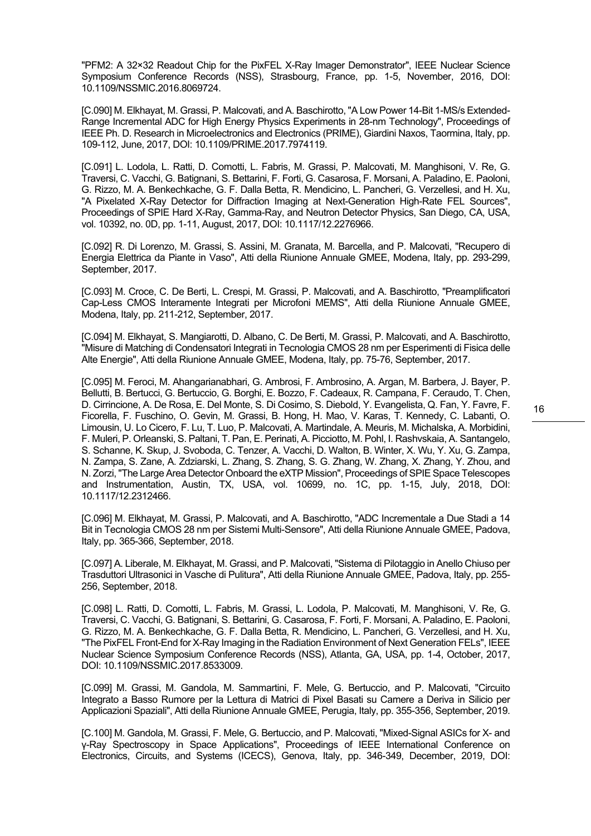"PFM2: A 32×32 Readout Chip for the PixFEL X-Ray Imager Demonstrator", IEEE Nuclear Science Symposium Conference Records (NSS), Strasbourg, France, pp. 1-5, November, 2016, DOI: 10.1109/NSSMIC.2016.8069724.

[C.090] M. Elkhayat, M. Grassi, P. Malcovati, and A. Baschirotto, "A Low Power 14-Bit 1-MS/s Extended-Range Incremental ADC for High Energy Physics Experiments in 28-nm Technology", Proceedings of IEEE Ph. D. Research in Microelectronics and Electronics (PRIME), Giardini Naxos, Taormina, Italy, pp. 109-112, June, 2017, DOI: 10.1109/PRIME.2017.7974119.

[C.091] L. Lodola, L. Ratti, D. Comotti, L. Fabris, M. Grassi, P. Malcovati, M. Manghisoni, V. Re, G. Traversi, C. Vacchi, G. Batignani, S. Bettarini, F. Forti, G. Casarosa, F. Morsani, A. Paladino, E. Paoloni, G. Rizzo, M. A. Benkechkache, G. F. Dalla Betta, R. Mendicino, L. Pancheri, G. Verzellesi, and H. Xu, "A Pixelated X-Ray Detector for Diffraction Imaging at Next-Generation High-Rate FEL Sources", Proceedings of SPIE Hard X-Ray, Gamma-Ray, and Neutron Detector Physics, San Diego, CA, USA, vol. 10392, no. 0D, pp. 1-11, August, 2017, DOI: 10.1117/12.2276966.

[C.092] R. Di Lorenzo, M. Grassi, S. Assini, M. Granata, M. Barcella, and P. Malcovati, "Recupero di Energia Elettrica da Piante in Vaso", Atti della Riunione Annuale GMEE, Modena, Italy, pp. 293-299, September, 2017.

[C.093] M. Croce, C. De Berti, L. Crespi, M. Grassi, P. Malcovati, and A. Baschirotto, "Preamplificatori Cap-Less CMOS Interamente Integrati per Microfoni MEMS", Atti della Riunione Annuale GMEE, Modena, Italy, pp. 211-212, September, 2017.

[C.094] M. Elkhayat, S. Mangiarotti, D. Albano, C. De Berti, M. Grassi, P. Malcovati, and A. Baschirotto, "Misure di Matching di Condensatori Integrati in Tecnologia CMOS 28 nm per Esperimenti di Fisica delle Alte Energie", Atti della Riunione Annuale GMEE, Modena, Italy, pp. 75-76, September, 2017.

[C.095] M. Feroci, M. Ahangarianabhari, G. Ambrosi, F. Ambrosino, A. Argan, M. Barbera, J. Bayer, P. Bellutti, B. Bertucci, G. Bertuccio, G. Borghi, E. Bozzo, F. Cadeaux, R. Campana, F. Ceraudo, T. Chen, D. Cirrincione, A. De Rosa, E. Del Monte, S. Di Cosimo, S. Diebold, Y. Evangelista, Q. Fan, Y. Favre, F. Ficorella, F. Fuschino, O. Gevin, M. Grassi, B. Hong, H. Mao, V. Karas, T. Kennedy, C. Labanti, O. Limousin, U. Lo Cicero, F. Lu, T. Luo, P. Malcovati, A. Martindale, A. Meuris, M. Michalska, A. Morbidini, F. Muleri, P. Orleanski, S. Paltani, T. Pan, E. Perinati, A. Picciotto, M. Pohl, I. Rashvskaia, A. Santangelo, S. Schanne, K. Skup, J. Svoboda, C. Tenzer, A. Vacchi, D. Walton, B. Winter, X. Wu, Y. Xu, G. Zampa, N. Zampa, S. Zane, A. Zdziarski, L. Zhang, S. Zhang, S. G. Zhang, W. Zhang, X. Zhang, Y. Zhou, and N. Zorzi, "The Large Area Detector Onboard the eXTP Mission", Proceedings of SPIE Space Telescopes and Instrumentation, Austin, TX, USA, vol. 10699, no. 1C, pp. 1-15, July, 2018, DOI: 10.1117/12.2312466.

[C.096] M. Elkhayat, M. Grassi, P. Malcovati, and A. Baschirotto, "ADC Incrementale a Due Stadi a 14 Bit in Tecnologia CMOS 28 nm per Sistemi Multi-Sensore", Atti della Riunione Annuale GMEE, Padova, Italy, pp. 365-366, September, 2018.

[C.097] A. Liberale, M. Elkhayat, M. Grassi, and P. Malcovati, "Sistema di Pilotaggio in Anello Chiuso per Trasduttori Ultrasonici in Vasche di Pulitura", Atti della Riunione Annuale GMEE, Padova, Italy, pp. 255- 256, September, 2018.

[C.098] L. Ratti, D. Comotti, L. Fabris, M. Grassi, L. Lodola, P. Malcovati, M. Manghisoni, V. Re, G. Traversi, C. Vacchi, G. Batignani, S. Bettarini, G. Casarosa, F. Forti, F. Morsani, A. Paladino, E. Paoloni, G. Rizzo, M. A. Benkechkache, G. F. Dalla Betta, R. Mendicino, L. Pancheri, G. Verzellesi, and H. Xu, "The PixFEL Front-End for X-Ray Imaging in the Radiation Environment of Next Generation FELs", IEEE Nuclear Science Symposium Conference Records (NSS), Atlanta, GA, USA, pp. 1-4, October, 2017, DOI: 10.1109/NSSMIC.2017.8533009.

[C.099] M. Grassi, M. Gandola, M. Sammartini, F. Mele, G. Bertuccio, and P. Malcovati, "Circuito Integrato a Basso Rumore per la Lettura di Matrici di Pixel Basati su Camere a Deriva in Silicio per Applicazioni Spaziali", Atti della Riunione Annuale GMEE, Perugia, Italy, pp. 355-356, September, 2019.

[C.100] M. Gandola, M. Grassi, F. Mele, G. Bertuccio, and P. Malcovati, "Mixed-Signal ASICs for X- and γ-Ray Spectroscopy in Space Applications", Proceedings of IEEE International Conference on Electronics, Circuits, and Systems (ICECS), Genova, Italy, pp. 346-349, December, 2019, DOI: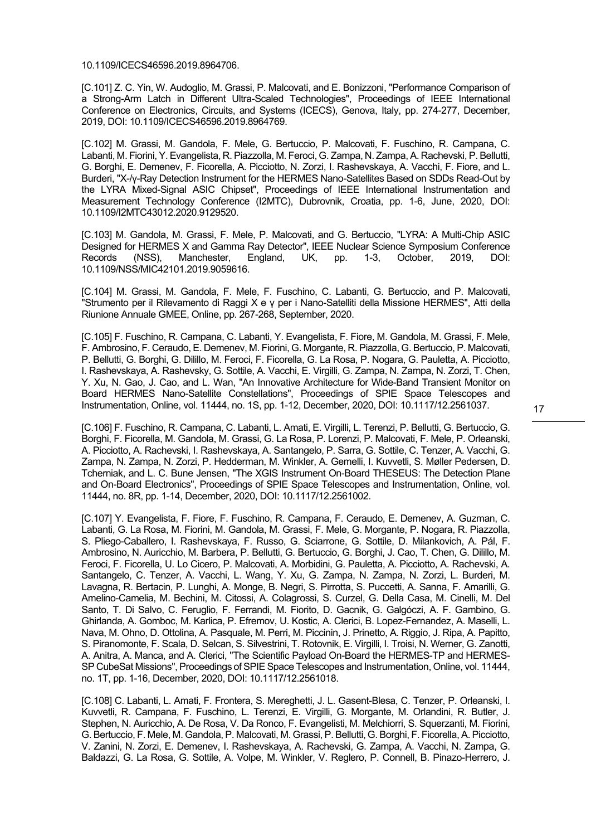10.1109/ICECS46596.2019.8964706.

[C.101] Z. C. Yin, W. Audoglio, M. Grassi, P. Malcovati, and E. Bonizzoni, "Performance Comparison of a Strong-Arm Latch in Different Ultra-Scaled Technologies", Proceedings of IEEE International Conference on Electronics, Circuits, and Systems (ICECS), Genova, Italy, pp. 274-277, December, 2019, DOI: 10.1109/ICECS46596.2019.8964769.

[C.102] M. Grassi, M. Gandola, F. Mele, G. Bertuccio, P. Malcovati, F. Fuschino, R. Campana, C. Labanti, M. Fiorini, Y. Evangelista, R. Piazzolla, M. Feroci, G. Zampa, N. Zampa, A. Rachevski, P. Bellutti, G. Borghi, E. Demenev, F. Ficorella, A. Picciotto, N. Zorzi, I. Rashevskaya, A. Vacchi, F. Fiore, and L. Burderi, "X-/γ-Ray Detection Instrument for the HERMES Nano-Satellites Based on SDDs Read-Out by the LYRA Mixed-Signal ASIC Chipset", Proceedings of IEEE International Instrumentation and Measurement Technology Conference (I2MTC), Dubrovnik, Croatia, pp. 1-6, June, 2020, DOI: 10.1109/I2MTC43012.2020.9129520.

[C.103] M. Gandola, M. Grassi, F. Mele, P. Malcovati, and G. Bertuccio, "LYRA: A Multi-Chip ASIC Designed for HERMES X and Gamma Ray Detector", IEEE Nuclear Science Symposium Conference Records (NSS), Manchester, England, UK, pp. 1-3, October, 2019, DOI: 10.1109/NSS/MIC42101.2019.9059616.

[C.104] M. Grassi, M. Gandola, F. Mele, F. Fuschino, C. Labanti, G. Bertuccio, and P. Malcovati, "Strumento per il Rilevamento di Raggi X e γ per i Nano-Satelliti della Missione HERMES", Atti della Riunione Annuale GMEE, Online, pp. 267-268, September, 2020.

[C.105] F. Fuschino, R. Campana, C. Labanti, Y. Evangelista, F. Fiore, M. Gandola, M. Grassi, F. Mele, F. Ambrosino, F. Ceraudo, E. Demenev, M. Fiorini, G. Morgante, R. Piazzolla, G. Bertuccio, P. Malcovati, P. Bellutti, G. Borghi, G. Dilillo, M. Feroci, F. Ficorella, G. La Rosa, P. Nogara, G. Pauletta, A. Picciotto, I. Rashevskaya, A. Rashevsky, G. Sottile, A. Vacchi, E. Virgilli, G. Zampa, N. Zampa, N. Zorzi, T. Chen, Y. Xu, N. Gao, J. Cao, and L. Wan, "An Innovative Architecture for Wide-Band Transient Monitor on Board HERMES Nano-Satellite Constellations", Proceedings of SPIE Space Telescopes and Instrumentation, Online, vol. 11444, no. 1S, pp. 1-12, December, 2020, DOI: 10.1117/12.2561037.

[C.106] F. Fuschino, R. Campana, C. Labanti, L. Amati, E. Virgilli, L. Terenzi, P. Bellutti, G. Bertuccio, G. Borghi, F. Ficorella, M. Gandola, M. Grassi, G. La Rosa, P. Lorenzi, P. Malcovati, F. Mele, P. Orleanski, A. Picciotto, A. Rachevski, I. Rashevskaya, A. Santangelo, P. Sarra, G. Sottile, C. Tenzer, A. Vacchi, G. Zampa, N. Zampa, N. Zorzi, P. Hedderman, M. Winkler, A. Gemelli, I. Kuvvetli, S. Møller Pedersen, D. Tcherniak, and L. C. Bune Jensen, "The XGIS Instrument On-Board THESEUS: The Detection Plane and On-Board Electronics", Proceedings of SPIE Space Telescopes and Instrumentation, Online, vol. 11444, no. 8R, pp. 1-14, December, 2020, DOI: 10.1117/12.2561002.

[C.107] Y. Evangelista, F. Fiore, F. Fuschino, R. Campana, F. Ceraudo, E. Demenev, A. Guzman, C. Labanti, G. La Rosa, M. Fiorini, M. Gandola, M. Grassi, F. Mele, G. Morgante, P. Nogara, R. Piazzolla, S. Pliego-Caballero, I. Rashevskaya, F. Russo, G. Sciarrone, G. Sottile, D. Milankovich, A. Pál, F. Ambrosino, N. Auricchio, M. Barbera, P. Bellutti, G. Bertuccio, G. Borghi, J. Cao, T. Chen, G. Dilillo, M. Feroci, F. Ficorella, U. Lo Cicero, P. Malcovati, A. Morbidini, G. Pauletta, A. Picciotto, A. Rachevski, A. Santangelo, C. Tenzer, A. Vacchi, L. Wang, Y. Xu, G. Zampa, N. Zampa, N. Zorzi, L. Burderi, M. Lavagna, R. Bertacin, P. Lunghi, A. Monge, B. Negri, S. Pirrotta, S. Puccetti, A. Sanna, F. Amarilli, G. Amelino-Camelia, M. Bechini, M. Citossi, A. Colagrossi, S. Curzel, G. Della Casa, M. Cinelli, M. Del Santo, T. Di Salvo, C. Feruglio, F. Ferrandi, M. Fiorito, D. Gacnik, G. Galgóczi, A. F. Gambino, G. Ghirlanda, A. Gomboc, M. Karlica, P. Efremov, U. Kostic, A. Clerici, B. Lopez-Fernandez, A. Maselli, L. Nava, M. Ohno, D. Ottolina, A. Pasquale, M. Perri, M. Piccinin, J. Prinetto, A. Riggio, J. Ripa, A. Papitto, S. Piranomonte, F. Scala, D. Selcan, S. Silvestrini, T. Rotovnik, E. Virgilli, I. Troisi, N. Werner, G. Zanotti, A. Anitra, A. Manca, and A. Clerici, "The Scientific Payload On-Board the HERMES-TP and HERMES-SP CubeSat Missions", Proceedings of SPIE Space Telescopes and Instrumentation, Online, vol. 11444, no. 1T, pp. 1-16, December, 2020, DOI: 10.1117/12.2561018.

[C.108] C. Labanti, L. Amati, F. Frontera, S. Mereghetti, J. L. Gasent-Blesa, C. Tenzer, P. Orleanski, I. Kuvvetli, R. Campana, F. Fuschino, L. Terenzi, E. Virgilli, G. Morgante, M. Orlandini, R. Butler, J. Stephen, N. Auricchio, A. De Rosa, V. Da Ronco, F. Evangelisti, M. Melchiorri, S. Squerzanti, M. Fiorini, G. Bertuccio, F. Mele, M. Gandola, P. Malcovati, M. Grassi, P. Bellutti, G. Borghi, F. Ficorella, A. Picciotto, V. Zanini, N. Zorzi, E. Demenev, I. Rashevskaya, A. Rachevski, G. Zampa, A. Vacchi, N. Zampa, G. Baldazzi, G. La Rosa, G. Sottile, A. Volpe, M. Winkler, V. Reglero, P. Connell, B. Pinazo-Herrero, J.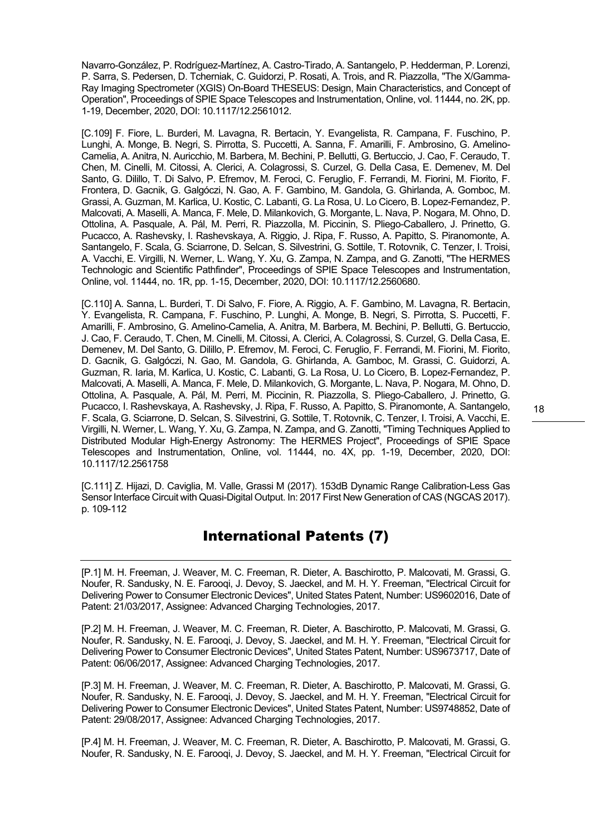Navarro-González, P. Rodríguez-Martínez, A. Castro-Tirado, A. Santangelo, P. Hedderman, P. Lorenzi, P. Sarra, S. Pedersen, D. Tcherniak, C. Guidorzi, P. Rosati, A. Trois, and R. Piazzolla, "The X/Gamma-Ray Imaging Spectrometer (XGIS) On-Board THESEUS: Design, Main Characteristics, and Concept of Operation", Proceedings of SPIE Space Telescopes and Instrumentation, Online, vol. 11444, no. 2K, pp. 1-19, December, 2020, DOI: 10.1117/12.2561012.

[C.109] F. Fiore, L. Burderi, M. Lavagna, R. Bertacin, Y. Evangelista, R. Campana, F. Fuschino, P. Lunghi, A. Monge, B. Negri, S. Pirrotta, S. Puccetti, A. Sanna, F. Amarilli, F. Ambrosino, G. Amelino-Camelia, A. Anitra, N. Auricchio, M. Barbera, M. Bechini, P. Bellutti, G. Bertuccio, J. Cao, F. Ceraudo, T. Chen, M. Cinelli, M. Citossi, A. Clerici, A. Colagrossi, S. Curzel, G. Della Casa, E. Demenev, M. Del Santo, G. Dilillo, T. Di Salvo, P. Efremov, M. Feroci, C. Feruglio, F. Ferrandi, M. Fiorini, M. Fiorito, F. Frontera, D. Gacnik, G. Galgóczi, N. Gao, A. F. Gambino, M. Gandola, G. Ghirlanda, A. Gomboc, M. Grassi, A. Guzman, M. Karlica, U. Kostic, C. Labanti, G. La Rosa, U. Lo Cicero, B. Lopez-Fernandez, P. Malcovati, A. Maselli, A. Manca, F. Mele, D. Milankovich, G. Morgante, L. Nava, P. Nogara, M. Ohno, D. Ottolina, A. Pasquale, A. Pál, M. Perri, R. Piazzolla, M. Piccinin, S. Pliego-Caballero, J. Prinetto, G. Pucacco, A. Rashevsky, I. Rashevskaya, A. Riggio, J. Ripa, F. Russo, A. Papitto, S. Piranomonte, A. Santangelo, F. Scala, G. Sciarrone, D. Selcan, S. Silvestrini, G. Sottile, T. Rotovnik, C. Tenzer, I. Troisi, A. Vacchi, E. Virgilli, N. Werner, L. Wang, Y. Xu, G. Zampa, N. Zampa, and G. Zanotti, "The HERMES Technologic and Scientific Pathfinder", Proceedings of SPIE Space Telescopes and Instrumentation, Online, vol. 11444, no. 1R, pp. 1-15, December, 2020, DOI: 10.1117/12.2560680.

[C.110] A. Sanna, L. Burderi, T. Di Salvo, F. Fiore, A. Riggio, A. F. Gambino, M. Lavagna, R. Bertacin, Y. Evangelista, R. Campana, F. Fuschino, P. Lunghi, A. Monge, B. Negri, S. Pirrotta, S. Puccetti, F. Amarilli, F. Ambrosino, G. Amelino-Camelia, A. Anitra, M. Barbera, M. Bechini, P. Bellutti, G. Bertuccio, J. Cao, F. Ceraudo, T. Chen, M. Cinelli, M. Citossi, A. Clerici, A. Colagrossi, S. Curzel, G. Della Casa, E. Demenev, M. Del Santo, G. Dilillo, P. Efremov, M. Feroci, C. Feruglio, F. Ferrandi, M. Fiorini, M. Fiorito, D. Gacnik, G. Galgóczi, N. Gao, M. Gandola, G. Ghirlanda, A. Gamboc, M. Grassi, C. Guidorzi, A. Guzman, R. Iaria, M. Karlica, U. Kostic, C. Labanti, G. La Rosa, U. Lo Cicero, B. Lopez-Fernandez, P. Malcovati, A. Maselli, A. Manca, F. Mele, D. Milankovich, G. Morgante, L. Nava, P. Nogara, M. Ohno, D. Ottolina, A. Pasquale, A. Pál, M. Perri, M. Piccinin, R. Piazzolla, S. Pliego-Caballero, J. Prinetto, G. Pucacco, I. Rashevskaya, A. Rashevsky, J. Ripa, F. Russo, A. Papitto, S. Piranomonte, A. Santangelo, F. Scala, G. Sciarrone, D. Selcan, S. Silvestrini, G. Sottile, T. Rotovnik, C. Tenzer, I. Troisi, A. Vacchi, E. Virgilli, N. Werner, L. Wang, Y. Xu, G. Zampa, N. Zampa, and G. Zanotti, "Timing Techniques Applied to Distributed Modular High-Energy Astronomy: The HERMES Project", Proceedings of SPIE Space Telescopes and Instrumentation, Online, vol. 11444, no. 4X, pp. 1-19, December, 2020, DOI: 10.1117/12.2561758

[C.111] Z. Hijazi, D. Caviglia, M. Valle, Grassi M (2017). 153dB Dynamic Range Calibration-Less Gas Sensor Interface Circuit with Quasi-Digital Output. In: 2017 First New Generation of CAS (NGCAS 2017). p. 109-112

## International Patents (7)

[P.1] M. H. Freeman, J. Weaver, M. C. Freeman, R. Dieter, A. Baschirotto, P. Malcovati, M. Grassi, G. Noufer, R. Sandusky, N. E. Farooqi, J. Devoy, S. Jaeckel, and M. H. Y. Freeman, "Electrical Circuit for Delivering Power to Consumer Electronic Devices", United States Patent, Number: US9602016, Date of Patent: 21/03/2017, Assignee: Advanced Charging Technologies, 2017.

[P.2] M. H. Freeman, J. Weaver, M. C. Freeman, R. Dieter, A. Baschirotto, P. Malcovati, M. Grassi, G. Noufer, R. Sandusky, N. E. Farooqi, J. Devoy, S. Jaeckel, and M. H. Y. Freeman, "Electrical Circuit for Delivering Power to Consumer Electronic Devices", United States Patent, Number: US9673717, Date of Patent: 06/06/2017, Assignee: Advanced Charging Technologies, 2017.

[P.3] M. H. Freeman, J. Weaver, M. C. Freeman, R. Dieter, A. Baschirotto, P. Malcovati, M. Grassi, G. Noufer, R. Sandusky, N. E. Farooqi, J. Devoy, S. Jaeckel, and M. H. Y. Freeman, "Electrical Circuit for Delivering Power to Consumer Electronic Devices", United States Patent, Number: US9748852, Date of Patent: 29/08/2017, Assignee: Advanced Charging Technologies, 2017.

[P.4] M. H. Freeman, J. Weaver, M. C. Freeman, R. Dieter, A. Baschirotto, P. Malcovati, M. Grassi, G. Noufer, R. Sandusky, N. E. Farooqi, J. Devoy, S. Jaeckel, and M. H. Y. Freeman, "Electrical Circuit for